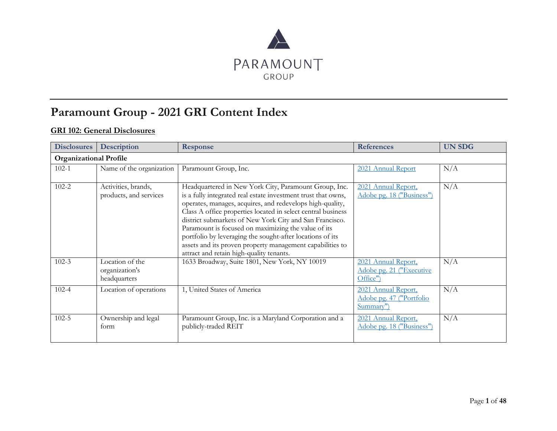

## **Paramount Group - 2021 GRI Content Index**

## **GRI 102: General Disclosures**

| <b>Disclosures</b>            | <b>Description</b>                                | <b>Response</b>                                                                                                                                                                                                                                                                                                                                                                                                                                                                                                                             | <b>References</b>                                            | <b>UN SDG</b> |
|-------------------------------|---------------------------------------------------|---------------------------------------------------------------------------------------------------------------------------------------------------------------------------------------------------------------------------------------------------------------------------------------------------------------------------------------------------------------------------------------------------------------------------------------------------------------------------------------------------------------------------------------------|--------------------------------------------------------------|---------------|
| <b>Organizational Profile</b> |                                                   |                                                                                                                                                                                                                                                                                                                                                                                                                                                                                                                                             |                                                              |               |
| $102 - 1$                     | Name of the organization                          | Paramount Group, Inc.                                                                                                                                                                                                                                                                                                                                                                                                                                                                                                                       | 2021 Annual Report                                           | N/A           |
| $102 - 2$                     | Activities, brands,<br>products, and services     | Headquartered in New York City, Paramount Group, Inc.<br>is a fully integrated real estate investment trust that owns,<br>operates, manages, acquires, and redevelops high-quality,<br>Class A office properties located in select central business<br>district submarkets of New York City and San Francisco.<br>Paramount is focused on maximizing the value of its<br>portfolio by leveraging the sought-after locations of its<br>assets and its proven property management capabilities to<br>attract and retain high-quality tenants. | 2021 Annual Report,<br>Adobe pg. 18 ("Business")             | N/A           |
| $102 - 3$                     | Location of the<br>organization's<br>headquarters | 1633 Broadway, Suite 1801, New York, NY 10019                                                                                                                                                                                                                                                                                                                                                                                                                                                                                               | 2021 Annual Report,<br>Adobe pg. 21 ("Executive<br>Office")  | N/A           |
| $102 - 4$                     | Location of operations                            | 1, United States of America                                                                                                                                                                                                                                                                                                                                                                                                                                                                                                                 | 2021 Annual Report,<br>Adobe pg. 47 ("Portfolio<br>Summary") | N/A           |
| $102 - 5$                     | Ownership and legal<br>form                       | Paramount Group, Inc. is a Maryland Corporation and a<br>publicly-traded REIT                                                                                                                                                                                                                                                                                                                                                                                                                                                               | 2021 Annual Report,<br>Adobe pg. 18 ("Business")             | N/A           |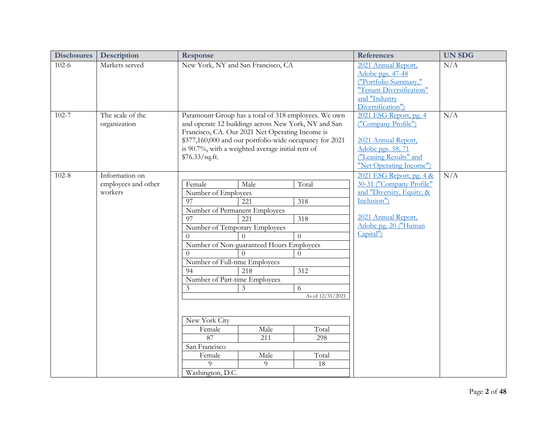| <b>Disclosures</b> | Description         | Response                                                                    | <b>References</b>                           | <b>UN SDG</b> |
|--------------------|---------------------|-----------------------------------------------------------------------------|---------------------------------------------|---------------|
| $102-6$            | Markets served      | New York, NY and San Francisco, CA                                          | 2021 Annual Report,<br>Adobe pgs. 47-48     | N/A           |
|                    |                     |                                                                             | ("Portfolio Summary,"                       |               |
|                    |                     |                                                                             | "Tenant Diversification"                    |               |
|                    |                     |                                                                             | and "Industry                               |               |
|                    |                     |                                                                             | Diversification")                           |               |
| $102 - 7$          | The scale of the    | Paramount Group has a total of 318 employees. We own                        | 2021 ESG Report, pg. 4                      | N/A           |
|                    | organization        | and operate 12 buildings across New York, NY and San                        | ("Company Profile")                         |               |
|                    |                     | Francisco, CA. Our 2021 Net Operating Income is                             |                                             |               |
|                    |                     | \$377,160,000 and our portfolio-wide occupancy for 2021                     | 2021 Annual Report,                         |               |
|                    |                     | is 90.7%, with a weighted average initial rent of                           | Adobe pgs. 58, 71                           |               |
|                    |                     | \$76.33/sq.fit.                                                             | ("Leasing Results" and                      |               |
|                    |                     |                                                                             | "Net Operating Income")                     |               |
| $102 - 8$          | Information on      |                                                                             | 2021 ESG Report, pg. 4 &                    | N/A           |
|                    | employees and other | Male<br>Total<br>Female                                                     | 30-31 ("Company Profile"                    |               |
|                    | workers             | Number of Employees                                                         | and "Diversity, Equity, &                   |               |
|                    |                     | 97<br>$\overline{221}$<br>$\overline{318}$                                  | Inclusion")                                 |               |
|                    |                     | Number of Permanent Employees                                               |                                             |               |
|                    |                     | $\overline{07}$<br>221<br>$\overline{318}$                                  | 2021 Annual Report,<br>Adobe pg. 20 ("Human |               |
|                    |                     | Number of Temporary Employees                                               | Capital")                                   |               |
|                    |                     | $\Omega$                                                                    |                                             |               |
|                    |                     | Number of Non-guaranteed Hours Employees                                    |                                             |               |
|                    |                     | $\Omega$<br>$\Omega$                                                        |                                             |               |
|                    |                     | Number of Full-time Employees<br>$\overline{218}$<br>$\overline{312}$<br>94 |                                             |               |
|                    |                     | Number of Part-time Employees                                               |                                             |               |
|                    |                     | 3<br>3<br>6                                                                 |                                             |               |
|                    |                     | As of 12/31/2021                                                            |                                             |               |
|                    |                     |                                                                             |                                             |               |
|                    |                     |                                                                             |                                             |               |
|                    |                     | New York City                                                               |                                             |               |
|                    |                     | Male<br>Total<br>Female                                                     |                                             |               |
|                    |                     | 87<br>$\overline{211}$<br>298                                               |                                             |               |
|                    |                     | San Francisco                                                               |                                             |               |
|                    |                     | Total<br>Male<br>Female                                                     |                                             |               |
|                    |                     | 9<br>$\Omega$<br>18                                                         |                                             |               |
|                    |                     | Washington, D.C.                                                            |                                             |               |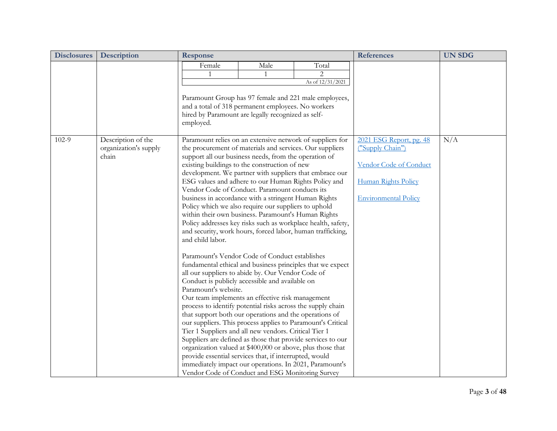| <b>Disclosures</b> | Description                                          | <b>Response</b>                                                                                                                                                                                                                                                                                                                                                                                                                                                                                                                                                                                                                                                                                                                                                                                                                                                                                                                                                                                                                                                                                                                                                                                                                                                                                                                                                                                                                                            |           |                                                                                                                            | <b>References</b>                                                                                                           | <b>UN SDG</b> |
|--------------------|------------------------------------------------------|------------------------------------------------------------------------------------------------------------------------------------------------------------------------------------------------------------------------------------------------------------------------------------------------------------------------------------------------------------------------------------------------------------------------------------------------------------------------------------------------------------------------------------------------------------------------------------------------------------------------------------------------------------------------------------------------------------------------------------------------------------------------------------------------------------------------------------------------------------------------------------------------------------------------------------------------------------------------------------------------------------------------------------------------------------------------------------------------------------------------------------------------------------------------------------------------------------------------------------------------------------------------------------------------------------------------------------------------------------------------------------------------------------------------------------------------------------|-----------|----------------------------------------------------------------------------------------------------------------------------|-----------------------------------------------------------------------------------------------------------------------------|---------------|
|                    |                                                      | Female<br>Paramount Group has 97 female and 221 male employees,<br>and a total of 318 permanent employees. No workers<br>hired by Paramount are legally recognized as self-<br>employed.                                                                                                                                                                                                                                                                                                                                                                                                                                                                                                                                                                                                                                                                                                                                                                                                                                                                                                                                                                                                                                                                                                                                                                                                                                                                   | Male<br>1 | Total<br>$\overline{2}$<br>As of $12/31/2021$                                                                              |                                                                                                                             |               |
| $102-9$            | Description of the<br>organization's supply<br>chain | Paramount relies on an extensive network of suppliers for<br>the procurement of materials and services. Our suppliers<br>support all our business needs, from the operation of<br>existing buildings to the construction of new<br>development. We partner with suppliers that embrace our<br>ESG values and adhere to our Human Rights Policy and<br>Vendor Code of Conduct. Paramount conducts its<br>business in accordance with a stringent Human Rights<br>Policy which we also require our suppliers to uphold<br>within their own business. Paramount's Human Rights<br>and security, work hours, forced labor, human trafficking,<br>and child labor.<br>Paramount's Vendor Code of Conduct establishes<br>all our suppliers to abide by. Our Vendor Code of<br>Conduct is publicly accessible and available on<br>Paramount's website.<br>Our team implements an effective risk management<br>process to identify potential risks across the supply chain<br>that support both our operations and the operations of<br>our suppliers. This process applies to Paramount's Critical<br>Tier 1 Suppliers and all new vendors. Critical Tier 1<br>Suppliers are defined as those that provide services to our<br>organization valued at \$400,000 or above, plus those that<br>provide essential services that, if interrupted, would<br>immediately impact our operations. In 2021, Paramount's<br>Vendor Code of Conduct and ESG Monitoring Survey |           | Policy addresses key risks such as workplace health, safety,<br>fundamental ethical and business principles that we expect | 2021 ESG Report, pg. 48<br>("Supply Chain")<br>Vendor Code of Conduct<br>Human Rights Policy<br><b>Environmental Policy</b> | N/A           |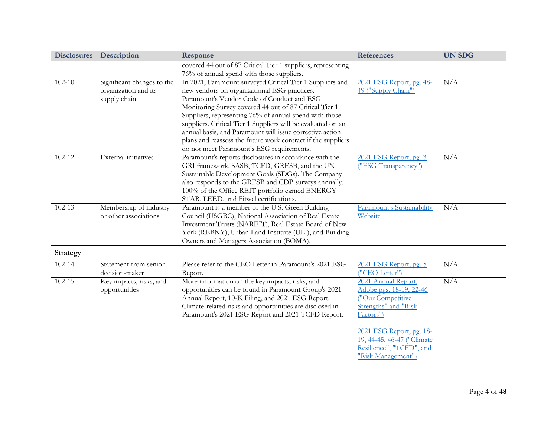| <b>Disclosures</b> | <b>Description</b>                                                 | <b>Response</b>                                                                                                                                                                                                                                                                                                                                                                                                                                                                                                      | <b>References</b>                                                                                                                                                                                                    | <b>UN SDG</b> |
|--------------------|--------------------------------------------------------------------|----------------------------------------------------------------------------------------------------------------------------------------------------------------------------------------------------------------------------------------------------------------------------------------------------------------------------------------------------------------------------------------------------------------------------------------------------------------------------------------------------------------------|----------------------------------------------------------------------------------------------------------------------------------------------------------------------------------------------------------------------|---------------|
|                    |                                                                    | covered 44 out of 87 Critical Tier 1 suppliers, representing<br>76% of annual spend with those suppliers.                                                                                                                                                                                                                                                                                                                                                                                                            |                                                                                                                                                                                                                      |               |
| $102 - 10$         | Significant changes to the<br>organization and its<br>supply chain | In 2021, Paramount surveyed Critical Tier 1 Suppliers and<br>new vendors on organizational ESG practices.<br>Paramount's Vendor Code of Conduct and ESG<br>Monitoring Survey covered 44 out of 87 Critical Tier 1<br>Suppliers, representing 76% of annual spend with those<br>suppliers. Critical Tier 1 Suppliers will be evaluated on an<br>annual basis, and Paramount will issue corrective action<br>plans and reassess the future work contract if the suppliers<br>do not meet Paramount's ESG requirements. | 2021 ESG Report, pg. 48-<br>49 ("Supply Chain")                                                                                                                                                                      | N/A           |
| 102-12             | External initiatives                                               | Paramount's reports disclosures in accordance with the<br>GRI framework, SASB, TCFD, GRESB, and the UN<br>Sustainable Development Goals (SDGs). The Company<br>also responds to the GRESB and CDP surveys annually.<br>100% of the Office REIT portfolio earned ENERGY<br>STAR, LEED, and Fitwel certifications.                                                                                                                                                                                                     | 2021 ESG Report, pg. 3<br>("ESG Transparency")                                                                                                                                                                       | N/A           |
| $102 - 13$         | Membership of industry<br>or other associations                    | Paramount is a member of the U.S. Green Building<br>Council (USGBC), National Association of Real Estate<br>Investment Trusts (NAREIT), Real Estate Board of New<br>York (REBNY), Urban Land Institute (ULI), and Building<br>Owners and Managers Association (BOMA).                                                                                                                                                                                                                                                | Paramount's Sustainability<br>Website                                                                                                                                                                                | N/A           |
| <b>Strategy</b>    |                                                                    |                                                                                                                                                                                                                                                                                                                                                                                                                                                                                                                      |                                                                                                                                                                                                                      |               |
| $102 - 14$         | Statement from senior<br>decision-maker                            | Please refer to the CEO Letter in Paramount's 2021 ESG<br>Report.                                                                                                                                                                                                                                                                                                                                                                                                                                                    | 2021 ESG Report, pg. 5<br>("CEO Letter")                                                                                                                                                                             | N/A           |
| $102 - 15$         | Key impacts, risks, and<br>opportunities                           | More information on the key impacts, risks, and<br>opportunities can be found in Paramount Group's 2021<br>Annual Report, 10-K Filing, and 2021 ESG Report.<br>Climate-related risks and opportunities are disclosed in<br>Paramount's 2021 ESG Report and 2021 TCFD Report.                                                                                                                                                                                                                                         | 2021 Annual Report,<br>Adobe pgs. 18-19, 22-46<br>("Our Competitive<br>Strengths" and "Risk<br>Factors")<br>2021 ESG Report, pg. 18-<br>19, 44-45, 46-47 ("Climate<br>Resilience", "TCFD", and<br>"Risk Management") | N/A           |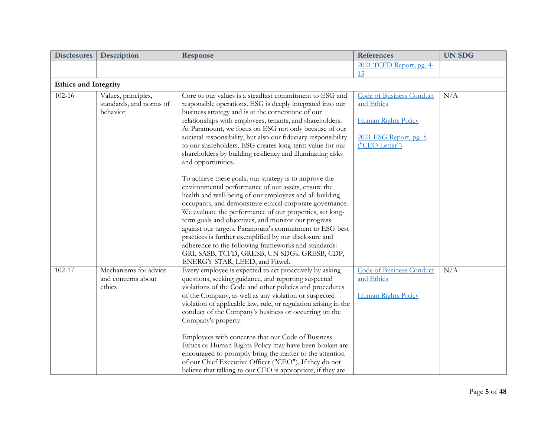| <b>Disclosures</b>          | <b>Description</b>                                         | Response                                                                                                                                                                                                                                                                                                                                                                                                                                                                                                                                                                                                                                                                                    | <b>References</b>                                                                                                | <b>UN SDG</b> |
|-----------------------------|------------------------------------------------------------|---------------------------------------------------------------------------------------------------------------------------------------------------------------------------------------------------------------------------------------------------------------------------------------------------------------------------------------------------------------------------------------------------------------------------------------------------------------------------------------------------------------------------------------------------------------------------------------------------------------------------------------------------------------------------------------------|------------------------------------------------------------------------------------------------------------------|---------------|
|                             |                                                            |                                                                                                                                                                                                                                                                                                                                                                                                                                                                                                                                                                                                                                                                                             | 2021 TCFD Report, pg. 4-                                                                                         |               |
|                             |                                                            |                                                                                                                                                                                                                                                                                                                                                                                                                                                                                                                                                                                                                                                                                             | 15                                                                                                               |               |
| <b>Ethics and Integrity</b> |                                                            |                                                                                                                                                                                                                                                                                                                                                                                                                                                                                                                                                                                                                                                                                             |                                                                                                                  |               |
| $102 - 16$                  | Values, principles,<br>standards, and norms of<br>behavior | Core to our values is a steadfast commitment to ESG and<br>responsible operations. ESG is deeply integrated into our<br>business strategy and is at the cornerstone of our<br>relationships with employees, tenants, and shareholders.<br>At Paramount, we focus on ESG not only because of our<br>societal responsibility, but also our fiduciary responsibility<br>to our shareholders. ESG creates long-term value for our<br>shareholders by building resiliency and illuminating risks<br>and opportunities.                                                                                                                                                                           | <b>Code of Business Conduct</b><br>and Ethics<br>Human Rights Policy<br>2021 ESG Report, pg. 5<br>("CEO Letter") | N/A           |
|                             |                                                            | To achieve these goals, our strategy is to improve the<br>environmental performance of our assets, ensure the<br>health and well-being of our employees and all building<br>occupants, and demonstrate ethical corporate governance.<br>We evaluate the performance of our properties, set long-<br>term goals and objectives, and monitor our progress<br>against our targets. Paramount's commitment to ESG best<br>practices is further exemplified by our disclosure and<br>adherence to the following frameworks and standards:<br>GRI, SASB, TCFD, GRESB, UN SDGs, GRESB, CDP,<br>ENERGY STAR, LEED, and Fitwel.                                                                      |                                                                                                                  |               |
| $102 - 17$                  | Mechanisms for advice<br>and concerns about<br>ethics      | Every employee is expected to act proactively by asking<br>questions, seeking guidance, and reporting suspected<br>violations of the Code and other policies and procedures<br>of the Company, as well as any violation or suspected<br>violation of applicable law, rule, or regulation arising in the<br>conduct of the Company's business or occurring on the<br>Company's property.<br>Employees with concerns that our Code of Business<br>Ethics or Human Rights Policy may have been broken are<br>encouraged to promptly bring the matter to the attention<br>of our Chief Executive Officer ("CEO"). If they do not<br>believe that talking to our CEO is appropriate, if they are | <b>Code of Business Conduct</b><br>and Ethics<br>Human Rights Policy                                             | N/A           |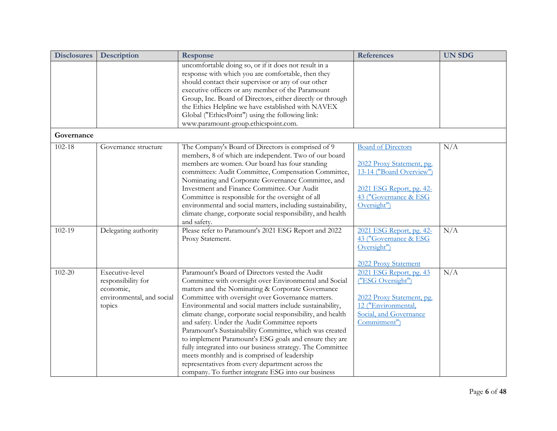| <b>Disclosures</b> | Description                                                                               | <b>Response</b>                                                                                                                                                                                                                                                                                                                                                                                                                                                                                                                                                                                                                                                                                                                               | <b>References</b>                                                                                                                                      | <b>UN SDG</b> |
|--------------------|-------------------------------------------------------------------------------------------|-----------------------------------------------------------------------------------------------------------------------------------------------------------------------------------------------------------------------------------------------------------------------------------------------------------------------------------------------------------------------------------------------------------------------------------------------------------------------------------------------------------------------------------------------------------------------------------------------------------------------------------------------------------------------------------------------------------------------------------------------|--------------------------------------------------------------------------------------------------------------------------------------------------------|---------------|
|                    |                                                                                           | uncomfortable doing so, or if it does not result in a<br>response with which you are comfortable, then they<br>should contact their supervisor or any of our other<br>executive officers or any member of the Paramount<br>Group, Inc. Board of Directors, either directly or through<br>the Ethics Helpline we have established with NAVEX<br>Global ("EthicsPoint") using the following link:<br>www.paramount-group.ethicspoint.com.                                                                                                                                                                                                                                                                                                       |                                                                                                                                                        |               |
| Governance         |                                                                                           |                                                                                                                                                                                                                                                                                                                                                                                                                                                                                                                                                                                                                                                                                                                                               |                                                                                                                                                        |               |
| $102 - 18$         | Governance structure                                                                      | The Company's Board of Directors is comprised of 9<br>members, 8 of which are independent. Two of our board<br>members are women. Our board has four standing<br>committees: Audit Committee, Compensation Committee,<br>Nominating and Corporate Governance Committee, and<br>Investment and Finance Committee. Our Audit<br>Committee is responsible for the oversight of all<br>environmental and social matters, including sustainability,<br>climate change, corporate social responsibility, and health<br>and safety.                                                                                                                                                                                                                  | <b>Board of Directors</b><br>2022 Proxy Statement, pg.<br>13-14 ("Board Overview")<br>2021 ESG Report, pg. 42-<br>43 ("Governance & ESG<br>Oversight") | N/A           |
| 102-19             | Delegating authority                                                                      | Please refer to Paramount's 2021 ESG Report and 2022<br>Proxy Statement.                                                                                                                                                                                                                                                                                                                                                                                                                                                                                                                                                                                                                                                                      | 2021 ESG Report, pg. 42-<br>43 ("Governance & ESG<br>Oversight")<br>2022 Proxy Statement                                                               | N/A           |
| 102-20             | Executive-level<br>responsibility for<br>economic,<br>environmental, and social<br>topics | Paramount's Board of Directors vested the Audit<br>Committee with oversight over Environmental and Social<br>matters and the Nominating & Corporate Governance<br>Committee with oversight over Governance matters.<br>Environmental and social matters include sustainability,<br>climate change, corporate social responsibility, and health<br>and safety. Under the Audit Committee reports<br>Paramount's Sustainability Committee, which was created<br>to implement Paramount's ESG goals and ensure they are<br>fully integrated into our business strategy. The Committee<br>meets monthly and is comprised of leadership<br>representatives from every department across the<br>company. To further integrate ESG into our business | 2021 ESG Report, pg. 43<br>("ESG Oversight")<br>2022 Proxy Statement, pg.<br>12 ("Environmental,<br>Social, and Governance<br>Commitment")             | N/A           |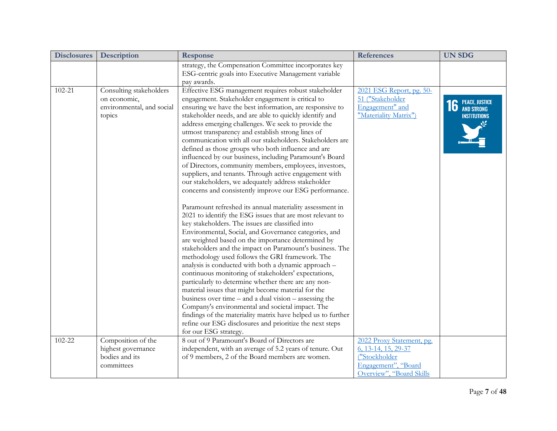| <b>Disclosures</b> | Description                                                                    | <b>Response</b>                                                                                                                                                                                                                                                                                                                                                                                                                                                                                                                                                                                                                                                                                                                                                                                                                                                                                                                                                                                                                                                                                                                                                                                                                                                                                                                                                                                                                                                                                                                                                                                                                                                                 | <b>References</b>                                                                                                    | <b>UN SDG</b>                                   |
|--------------------|--------------------------------------------------------------------------------|---------------------------------------------------------------------------------------------------------------------------------------------------------------------------------------------------------------------------------------------------------------------------------------------------------------------------------------------------------------------------------------------------------------------------------------------------------------------------------------------------------------------------------------------------------------------------------------------------------------------------------------------------------------------------------------------------------------------------------------------------------------------------------------------------------------------------------------------------------------------------------------------------------------------------------------------------------------------------------------------------------------------------------------------------------------------------------------------------------------------------------------------------------------------------------------------------------------------------------------------------------------------------------------------------------------------------------------------------------------------------------------------------------------------------------------------------------------------------------------------------------------------------------------------------------------------------------------------------------------------------------------------------------------------------------|----------------------------------------------------------------------------------------------------------------------|-------------------------------------------------|
|                    |                                                                                | strategy, the Compensation Committee incorporates key<br>ESG-centric goals into Executive Management variable<br>pay awards.                                                                                                                                                                                                                                                                                                                                                                                                                                                                                                                                                                                                                                                                                                                                                                                                                                                                                                                                                                                                                                                                                                                                                                                                                                                                                                                                                                                                                                                                                                                                                    |                                                                                                                      |                                                 |
| 102-21             | Consulting stakeholders<br>on economic,<br>environmental, and social<br>topics | Effective ESG management requires robust stakeholder<br>engagement. Stakeholder engagement is critical to<br>ensuring we have the best information, are responsive to<br>stakeholder needs, and are able to quickly identify and<br>address emerging challenges. We seek to provide the<br>utmost transparency and establish strong lines of<br>communication with all our stakeholders. Stakeholders are<br>defined as those groups who both influence and are<br>influenced by our business, including Paramount's Board<br>of Directors, community members, employees, investors,<br>suppliers, and tenants. Through active engagement with<br>our stakeholders, we adequately address stakeholder<br>concerns and consistently improve our ESG performance.<br>Paramount refreshed its annual materiality assessment in<br>2021 to identify the ESG issues that are most relevant to<br>key stakeholders. The issues are classified into<br>Environmental, Social, and Governance categories, and<br>are weighted based on the importance determined by<br>stakeholders and the impact on Paramount's business. The<br>methodology used follows the GRI framework. The<br>analysis is conducted with both a dynamic approach -<br>continuous monitoring of stakeholders' expectations,<br>particularly to determine whether there are any non-<br>material issues that might become material for the<br>business over time $-$ and a dual vision $-$ assessing the<br>Company's environmental and societal impact. The<br>findings of the materiality matrix have helped us to further<br>refine our ESG disclosures and prioritize the next steps<br>for our ESG strategy. | 2021 ESG Report, pg. 50-<br>51 ("Stakeholder<br>Engagement" and<br>"Materiality Matrix")                             | <b>16</b> PEACE, JUSTICE<br><b>INSTITUTIONS</b> |
| 102-22             | Composition of the<br>highest governance<br>bodies and its<br>committees       | 8 out of 9 Paramount's Board of Directors are<br>independent, with an average of 5.2 years of tenure. Out<br>of 9 members, 2 of the Board members are women.                                                                                                                                                                                                                                                                                                                                                                                                                                                                                                                                                                                                                                                                                                                                                                                                                                                                                                                                                                                                                                                                                                                                                                                                                                                                                                                                                                                                                                                                                                                    | 2022 Proxy Statement, pg.<br>6, 13-14, 15, 29-37<br>("Stockholder<br>Engagement", "Board<br>Overview", "Board Skills |                                                 |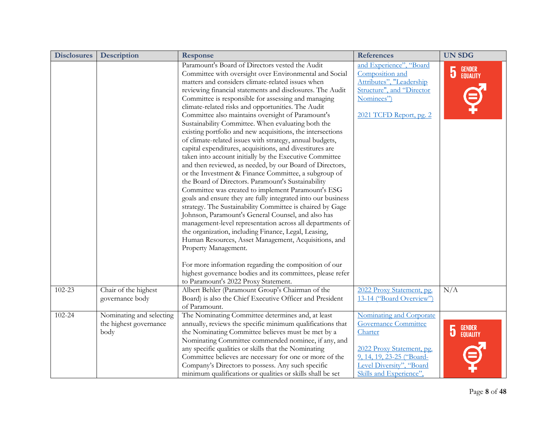| <b>Disclosures</b> | <b>Description</b>                                         | <b>Response</b>                                                                                                                                                                                                                                                                                                                                                                                                                                                                                                                                                                                                                                                                                                                                                                                                                                                                                                                                                                                                                                                                                                                                                                                                                                                                                                              | <b>References</b>                                                                                                                                                                   | <b>UN SDG</b>                                 |
|--------------------|------------------------------------------------------------|------------------------------------------------------------------------------------------------------------------------------------------------------------------------------------------------------------------------------------------------------------------------------------------------------------------------------------------------------------------------------------------------------------------------------------------------------------------------------------------------------------------------------------------------------------------------------------------------------------------------------------------------------------------------------------------------------------------------------------------------------------------------------------------------------------------------------------------------------------------------------------------------------------------------------------------------------------------------------------------------------------------------------------------------------------------------------------------------------------------------------------------------------------------------------------------------------------------------------------------------------------------------------------------------------------------------------|-------------------------------------------------------------------------------------------------------------------------------------------------------------------------------------|-----------------------------------------------|
|                    |                                                            | Paramount's Board of Directors vested the Audit<br>Committee with oversight over Environmental and Social<br>matters and considers climate-related issues when<br>reviewing financial statements and disclosures. The Audit<br>Committee is responsible for assessing and managing<br>climate-related risks and opportunities. The Audit<br>Committee also maintains oversight of Paramount's<br>Sustainability Committee. When evaluating both the<br>existing portfolio and new acquisitions, the intersections<br>of climate-related issues with strategy, annual budgets,<br>capital expenditures, acquisitions, and divestitures are<br>taken into account initially by the Executive Committee<br>and then reviewed, as needed, by our Board of Directors,<br>or the Investment & Finance Committee, a subgroup of<br>the Board of Directors. Paramount's Sustainability<br>Committee was created to implement Paramount's ESG<br>goals and ensure they are fully integrated into our business<br>strategy. The Sustainability Committee is chaired by Gage<br>Johnson, Paramount's General Counsel, and also has<br>management-level representation across all departments of<br>the organization, including Finance, Legal, Leasing,<br>Human Resources, Asset Management, Acquisitions, and<br>Property Management. | and Experience", "Board<br>Composition and<br>Attributes", "Leadership<br>Structure", and "Director<br>Nominees")<br>2021 TCFD Report, pg. 2                                        | $\overline{5}$<br>GENDER<br>EQUALITY          |
|                    |                                                            | For more information regarding the composition of our<br>highest governance bodies and its committees, please refer<br>to Paramount's 2022 Proxy Statement.                                                                                                                                                                                                                                                                                                                                                                                                                                                                                                                                                                                                                                                                                                                                                                                                                                                                                                                                                                                                                                                                                                                                                                  |                                                                                                                                                                                     |                                               |
| 102-23             | Chair of the highest<br>governance body                    | Albert Behler (Paramount Group's Chairman of the<br>Board) is also the Chief Executive Officer and President<br>of Paramount.                                                                                                                                                                                                                                                                                                                                                                                                                                                                                                                                                                                                                                                                                                                                                                                                                                                                                                                                                                                                                                                                                                                                                                                                | 2022 Proxy Statement, pg.<br>13-14 ("Board Overview")                                                                                                                               | N/A                                           |
| 102-24             | Nominating and selecting<br>the highest governance<br>body | The Nominating Committee determines and, at least<br>annually, reviews the specific minimum qualifications that<br>the Nominating Committee believes must be met by a<br>Nominating Committee commended nominee, if any, and<br>any specific qualities or skills that the Nominating<br>Committee believes are necessary for one or more of the<br>Company's Directors to possess. Any such specific<br>minimum qualifications or qualities or skills shall be set                                                                                                                                                                                                                                                                                                                                                                                                                                                                                                                                                                                                                                                                                                                                                                                                                                                           | Nominating and Corporate<br><b>Governance Committee</b><br>Charter<br>2022 Proxy Statement, pg.<br>9, 14, 19, 23-25 ("Board-<br>Level Diversity", "Board<br>Skills and Experience", | GENDER<br>Equality<br>$\overline{\mathbf{5}}$ |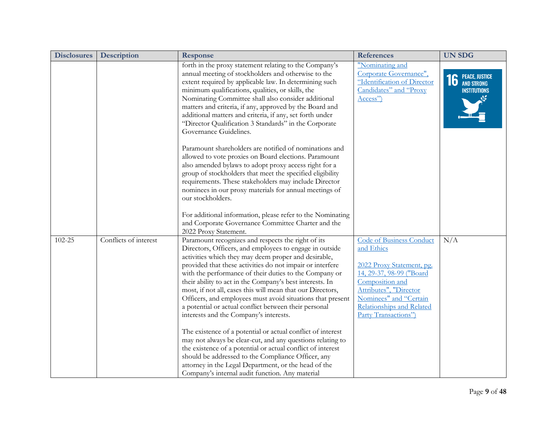| <b>Disclosures</b> | Description           | <b>Response</b>                                                                                                                                                                                                                                                                                                                                                                                                                                                                                                                                                                                                                                                                                                                                                                                                                                                                                                                                      | <b>References</b>                                                                                                                                                                                                                  | <b>UN SDG</b>                                   |
|--------------------|-----------------------|------------------------------------------------------------------------------------------------------------------------------------------------------------------------------------------------------------------------------------------------------------------------------------------------------------------------------------------------------------------------------------------------------------------------------------------------------------------------------------------------------------------------------------------------------------------------------------------------------------------------------------------------------------------------------------------------------------------------------------------------------------------------------------------------------------------------------------------------------------------------------------------------------------------------------------------------------|------------------------------------------------------------------------------------------------------------------------------------------------------------------------------------------------------------------------------------|-------------------------------------------------|
|                    |                       | forth in the proxy statement relating to the Company's<br>annual meeting of stockholders and otherwise to the<br>extent required by applicable law. In determining such<br>minimum qualifications, qualities, or skills, the<br>Nominating Committee shall also consider additional<br>matters and criteria, if any, approved by the Board and<br>additional matters and criteria, if any, set forth under<br>"Director Qualification 3 Standards" in the Corporate<br>Governance Guidelines.                                                                                                                                                                                                                                                                                                                                                                                                                                                        | "Nominating and<br>Corporate Governance",<br>"Identification of Director<br>Candidates" and "Proxy<br>Access")                                                                                                                     | <b>16</b> PEACE, JUSTICE<br><b>INSTITUTIONS</b> |
|                    |                       | Paramount shareholders are notified of nominations and<br>allowed to vote proxies on Board elections. Paramount<br>also amended bylaws to adopt proxy access right for a<br>group of stockholders that meet the specified eligibility<br>requirements. These stakeholders may include Director<br>nominees in our proxy materials for annual meetings of<br>our stockholders.<br>For additional information, please refer to the Nominating                                                                                                                                                                                                                                                                                                                                                                                                                                                                                                          |                                                                                                                                                                                                                                    |                                                 |
|                    |                       | and Corporate Governance Committee Charter and the<br>2022 Proxy Statement.                                                                                                                                                                                                                                                                                                                                                                                                                                                                                                                                                                                                                                                                                                                                                                                                                                                                          |                                                                                                                                                                                                                                    |                                                 |
| 102-25             | Conflicts of interest | Paramount recognizes and respects the right of its<br>Directors, Officers, and employees to engage in outside<br>activities which they may deem proper and desirable,<br>provided that these activities do not impair or interfere<br>with the performance of their duties to the Company or<br>their ability to act in the Company's best interests. In<br>most, if not all, cases this will mean that our Directors,<br>Officers, and employees must avoid situations that present<br>a potential or actual conflict between their personal<br>interests and the Company's interests.<br>The existence of a potential or actual conflict of interest<br>may not always be clear-cut, and any questions relating to<br>the existence of a potential or actual conflict of interest<br>should be addressed to the Compliance Officer, any<br>attorney in the Legal Department, or the head of the<br>Company's internal audit function. Any material | <b>Code of Business Conduct</b><br>and Ethics<br>2022 Proxy Statement, pg.<br>14, 29-37, 98-99 ("Board<br>Composition and<br>Attributes", "Director<br>Nominees" and "Certain<br>Relationships and Related<br>Party Transactions") | N/A                                             |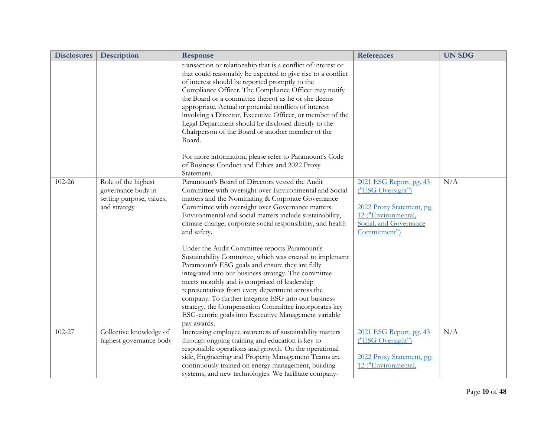| <b>Disclosures</b> | Description                                                                           | Response                                                                                                                                                                                                                                                                                                                                                                                                                                                                                                                                                                                                                                                                                                                                                                                                                                                                         | <b>References</b>                                                                                                                          | <b>UN SDG</b> |
|--------------------|---------------------------------------------------------------------------------------|----------------------------------------------------------------------------------------------------------------------------------------------------------------------------------------------------------------------------------------------------------------------------------------------------------------------------------------------------------------------------------------------------------------------------------------------------------------------------------------------------------------------------------------------------------------------------------------------------------------------------------------------------------------------------------------------------------------------------------------------------------------------------------------------------------------------------------------------------------------------------------|--------------------------------------------------------------------------------------------------------------------------------------------|---------------|
|                    |                                                                                       | transaction or relationship that is a conflict of interest or<br>that could reasonably be expected to give rise to a conflict<br>of interest should be reported promptly to the<br>Compliance Officer. The Compliance Officer may notify<br>the Board or a committee thereof as he or she deems<br>appropriate. Actual or potential conflicts of interest<br>involving a Director, Executive Officer, or member of the<br>Legal Department should be disclosed directly to the<br>Chairperson of the Board or another member of the<br>Board.                                                                                                                                                                                                                                                                                                                                    |                                                                                                                                            |               |
|                    |                                                                                       | For more information, please refer to Paramount's Code<br>of Business Conduct and Ethics and 2022 Proxy<br>Statement.                                                                                                                                                                                                                                                                                                                                                                                                                                                                                                                                                                                                                                                                                                                                                            |                                                                                                                                            |               |
| 102-26             | Role of the highest<br>governance body in<br>setting purpose, values,<br>and strategy | Paramount's Board of Directors vested the Audit<br>Committee with oversight over Environmental and Social<br>matters and the Nominating & Corporate Governance<br>Committee with oversight over Governance matters.<br>Environmental and social matters include sustainability,<br>climate change, corporate social responsibility, and health<br>and safety.<br>Under the Audit Committee reports Paramount's<br>Sustainability Committee, which was created to implement<br>Paramount's ESG goals and ensure they are fully<br>integrated into our business strategy. The committee<br>meets monthly and is comprised of leadership<br>representatives from every department across the<br>company. To further integrate ESG into our business<br>strategy, the Compensation Committee incorporates key<br>ESG-centric goals into Executive Management variable<br>pay awards. | 2021 ESG Report, pg. 43<br>("ESG Oversight")<br>2022 Proxy Statement, pg.<br>12 ("Environmental,<br>Social, and Governance<br>Commitment") | N/A           |
| 102-27             | Collective knowledge of<br>highest governance body                                    | Increasing employee awareness of sustainability matters<br>through ongoing training and education is key to<br>responsible operations and growth. On the operational<br>side, Engineering and Property Management Teams are<br>continuously trained on energy management, building<br>systems, and new technologies. We facilitate company-                                                                                                                                                                                                                                                                                                                                                                                                                                                                                                                                      | 2021 ESG Report, pg. 43<br>("ESG Oversight")<br>2022 Proxy Statement, pg.<br>12 ("Environmental,                                           | N/A           |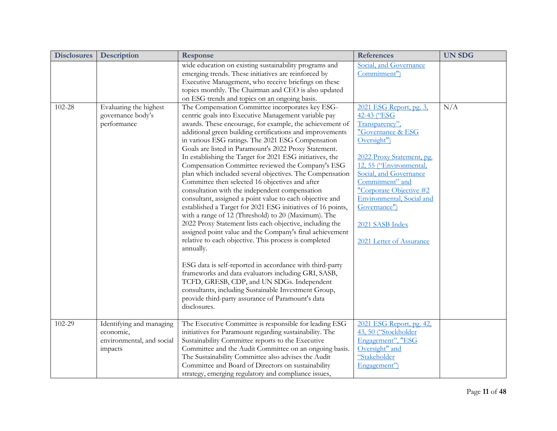| <b>Disclosures</b> | <b>Description</b>                                                            | Response                                                                                                                                                                                                                                                                                                                                                                                                                                                                                                                                                                                                                                                                                                                                                                                                                                                                                                                                                                                                                                                                                                                                                                                                                                                                                                        | <b>References</b>                                                                                                                                                                                                                                                                                                        | <b>UN SDG</b> |
|--------------------|-------------------------------------------------------------------------------|-----------------------------------------------------------------------------------------------------------------------------------------------------------------------------------------------------------------------------------------------------------------------------------------------------------------------------------------------------------------------------------------------------------------------------------------------------------------------------------------------------------------------------------------------------------------------------------------------------------------------------------------------------------------------------------------------------------------------------------------------------------------------------------------------------------------------------------------------------------------------------------------------------------------------------------------------------------------------------------------------------------------------------------------------------------------------------------------------------------------------------------------------------------------------------------------------------------------------------------------------------------------------------------------------------------------|--------------------------------------------------------------------------------------------------------------------------------------------------------------------------------------------------------------------------------------------------------------------------------------------------------------------------|---------------|
|                    |                                                                               | wide education on existing sustainability programs and<br>emerging trends. These initiatives are reinforced by<br>Executive Management, who receive briefings on these<br>topics monthly. The Chairman and CEO is also updated<br>on ESG trends and topics on an ongoing basis.                                                                                                                                                                                                                                                                                                                                                                                                                                                                                                                                                                                                                                                                                                                                                                                                                                                                                                                                                                                                                                 | Social, and Governance<br>Commitment")                                                                                                                                                                                                                                                                                   |               |
| 102-28             | Evaluating the highest<br>governance body's<br>performance                    | The Compensation Committee incorporates key ESG-<br>centric goals into Executive Management variable pay<br>awards. These encourage, for example, the achievement of<br>additional green building certifications and improvements<br>in various ESG ratings. The 2021 ESG Compensation<br>Goals are listed in Paramount's 2022 Proxy Statement.<br>In establishing the Target for 2021 ESG initiatives, the<br>Compensation Committee reviewed the Company's ESG<br>plan which included several objectives. The Compensation<br>Committee then selected 16 objectives and after<br>consultation with the independent compensation<br>consultant, assigned a point value to each objective and<br>established a Target for 2021 ESG initiatives of 16 points,<br>with a range of 12 (Threshold) to 20 (Maximum). The<br>2022 Proxy Statement lists each objective, including the<br>assigned point value and the Company's final achievement<br>relative to each objective. This process is completed<br>annually.<br>ESG data is self-reported in accordance with third-party<br>frameworks and data evaluators including GRI, SASB,<br>TCFD, GRESB, CDP, and UN SDGs. Independent<br>consultants, including Sustainable Investment Group,<br>provide third-party assurance of Paramount's data<br>disclosures. | 2021 ESG Report, pg. 3,<br>42-43 ("ESG<br>Transparency",<br>"Governance & ESG<br>Oversight")<br>2022 Proxy Statement, pg.<br>12, 55 ("Environmental,<br>Social, and Governance<br>Commitment" and<br>"Corporate Objective #2<br>Environmental, Social and<br>Governance")<br>2021 SASB Index<br>2021 Letter of Assurance | N/A           |
| 102-29             | Identifying and managing<br>economic,<br>environmental, and social<br>impacts | The Executive Committee is responsible for leading ESG<br>initiatives for Paramount regarding sustainability. The<br>Sustainability Committee reports to the Executive<br>Committee and the Audit Committee on an ongoing basis.<br>The Sustainability Committee also advises the Audit<br>Committee and Board of Directors on sustainability<br>strategy, emerging regulatory and compliance issues,                                                                                                                                                                                                                                                                                                                                                                                                                                                                                                                                                                                                                                                                                                                                                                                                                                                                                                           | 2021 ESG Report, pg. 42,<br>43, 50 ("Stockholder<br>Engagement", "ESG<br>Oversight" and<br>"Stakeholder<br>Engagement")                                                                                                                                                                                                  |               |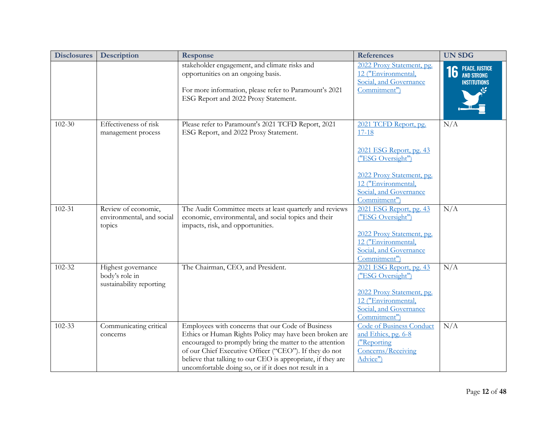| <b>Disclosures</b> | <b>Description</b>                                               | <b>Response</b>                                                                                                                                                                                                                                                                                                                                           | <b>References</b>                                                                                       | <b>UN SDG</b>                                   |
|--------------------|------------------------------------------------------------------|-----------------------------------------------------------------------------------------------------------------------------------------------------------------------------------------------------------------------------------------------------------------------------------------------------------------------------------------------------------|---------------------------------------------------------------------------------------------------------|-------------------------------------------------|
|                    |                                                                  | stakeholder engagement, and climate risks and<br>opportunities on an ongoing basis.                                                                                                                                                                                                                                                                       | 2022 Proxy Statement, pg.<br>12 ("Environmental,<br>Social, and Governance                              | <b>16 PEACE, JUSTICE</b><br><b>INSTITUTIONS</b> |
|                    |                                                                  | For more information, please refer to Paramount's 2021<br>ESG Report and 2022 Proxy Statement.                                                                                                                                                                                                                                                            | Commitment")                                                                                            |                                                 |
| $102 - 30$         | Effectiveness of risk<br>management process                      | Please refer to Paramount's 2021 TCFD Report, 2021<br>ESG Report, and 2022 Proxy Statement.                                                                                                                                                                                                                                                               | 2021 TCFD Report, pg.<br>$17 - 18$                                                                      | N/A                                             |
|                    |                                                                  |                                                                                                                                                                                                                                                                                                                                                           | 2021 ESG Report, pg. 43<br>("ESG Oversight")                                                            |                                                 |
|                    |                                                                  |                                                                                                                                                                                                                                                                                                                                                           | 2022 Proxy Statement, pg.<br>12 ("Environmental,<br>Social, and Governance<br>Commitment")              |                                                 |
| $102 - 31$         | Review of economic,<br>environmental, and social<br>topics       | The Audit Committee meets at least quarterly and reviews<br>economic, environmental, and social topics and their<br>impacts, risk, and opportunities.                                                                                                                                                                                                     | 2021 ESG Report, pg. 43<br>("ESG Oversight")                                                            | N/A                                             |
|                    |                                                                  |                                                                                                                                                                                                                                                                                                                                                           | 2022 Proxy Statement, pg.<br>12 ("Environmental,<br>Social, and Governance<br>Commitment")              |                                                 |
| 102-32             | Highest governance<br>body's role in<br>sustainability reporting | The Chairman, CEO, and President.                                                                                                                                                                                                                                                                                                                         | 2021 ESG Report, pg. 43<br>("ESG Oversight")                                                            | N/A                                             |
|                    |                                                                  |                                                                                                                                                                                                                                                                                                                                                           | 2022 Proxy Statement, pg.<br>12 ("Environmental,<br>Social, and Governance<br>Commitment")              |                                                 |
| $102 - 33$         | Communicating critical<br>concerns                               | Employees with concerns that our Code of Business<br>Ethics or Human Rights Policy may have been broken are<br>encouraged to promptly bring the matter to the attention<br>of our Chief Executive Officer ("CEO"). If they do not<br>believe that talking to our CEO is appropriate, if they are<br>uncomfortable doing so, or if it does not result in a | <b>Code of Business Conduct</b><br>and Ethics, pg. 6-8<br>("Reporting<br>Concerns/Receiving<br>Advice") | N/A                                             |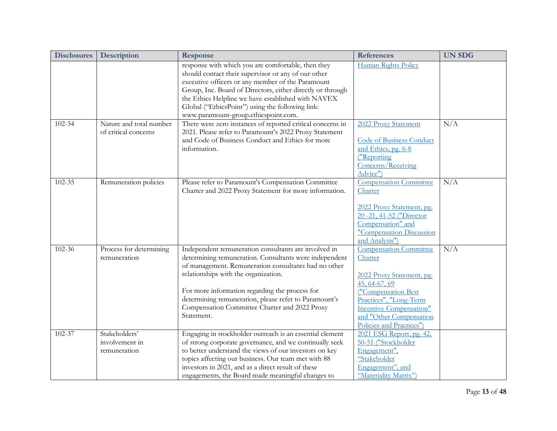| <b>Disclosures</b> | <b>Description</b>                              | <b>Response</b>                                                                                                                                                                                                                                                                                                                                                                          | <b>References</b>                                                                                                                                                                                                                | <b>UN SDG</b> |
|--------------------|-------------------------------------------------|------------------------------------------------------------------------------------------------------------------------------------------------------------------------------------------------------------------------------------------------------------------------------------------------------------------------------------------------------------------------------------------|----------------------------------------------------------------------------------------------------------------------------------------------------------------------------------------------------------------------------------|---------------|
|                    |                                                 | response with which you are comfortable, then they<br>should contact their supervisor or any of our other<br>executive officers or any member of the Paramount<br>Group, Inc. Board of Directors, either directly or through<br>the Ethics Helpline we have established with NAVEX<br>Global ("EthicsPoint") using the following link:<br>www.paramount-group.ethicspoint.com.           | Human Rights Policy                                                                                                                                                                                                              |               |
| 102-34             | Nature and total number<br>of critical concerns | There were zero instances of reported critical concerns in<br>2021. Please refer to Paramount's 2022 Proxy Statement<br>and Code of Business Conduct and Ethics for more<br>information.                                                                                                                                                                                                 | 2022 Proxy Statement<br><b>Code of Business Conduct</b><br>and Ethics, pg. 6-8<br>("Reporting<br>Concerns/Receiving<br>Advice")                                                                                                  | N/A           |
| $102 - 35$         | Remuneration policies                           | Please refer to Paramount's Compensation Committee<br>Charter and 2022 Proxy Statement for more information.                                                                                                                                                                                                                                                                             | <b>Compensation Committee</b><br>Charter<br>2022 Proxy Statement, pg.<br>20 - 21, 41 - 52 ("Director<br>Compensation" and<br>"Compensation Discussion<br>and Analysis")                                                          | N/A           |
| 102-36             | Process for determining<br>remuneration         | Independent remuneration consultants are involved in<br>determining remuneration. Consultants were independent<br>of management. Remuneration consultants had no other<br>relationships with the organization.<br>For more information regarding the process for<br>determining remuneration, please refer to Paramount's<br>Compensation Committee Charter and 2022 Proxy<br>Statement. | <b>Compensation Committee</b><br>Charter<br>2022 Proxy Statement, pg.<br>45, 64-67, 69<br>("Compensation Best<br>Practices", "Long-Term<br><b>Incentive Compensation"</b><br>and "Other Compensation<br>Policies and Practices") | N/A           |
| 102-37             | Stakeholders'<br>involvement in<br>remuneration | Engaging in stockholder outreach is an essential element<br>of strong corporate governance, and we continually seek<br>to better understand the views of our investors on key<br>topics affecting our business. Our team met with 88<br>investors in 2021, and as a direct result of these<br>engagements, the Board made meaningful changes to                                          | 2021 ESG Report, pg. 42,<br>50-51 ("Stockholder<br>Engagement",<br>"Stakeholder<br>Engagement", and<br>"Materiality Matrix")                                                                                                     |               |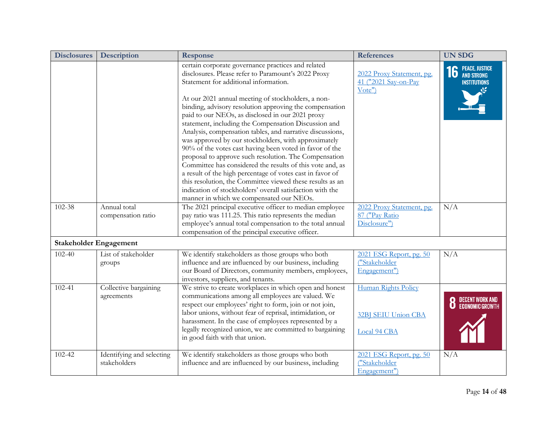| <b>Disclosures</b> | Description                               | <b>Response</b>                                                                                                                                                                                                                                                                                                                                                                                                                                                                                                                                                                                                                                                                                                        | <b>References</b>                                           | <b>UN SDG</b>                                   |
|--------------------|-------------------------------------------|------------------------------------------------------------------------------------------------------------------------------------------------------------------------------------------------------------------------------------------------------------------------------------------------------------------------------------------------------------------------------------------------------------------------------------------------------------------------------------------------------------------------------------------------------------------------------------------------------------------------------------------------------------------------------------------------------------------------|-------------------------------------------------------------|-------------------------------------------------|
|                    |                                           | certain corporate governance practices and related<br>disclosures. Please refer to Paramount's 2022 Proxy<br>Statement for additional information.                                                                                                                                                                                                                                                                                                                                                                                                                                                                                                                                                                     | 2022 Proxy Statement, pg.<br>41 ("2021 Say-on-Pay<br>Vote'  | <b>16</b> PEACE, JUSTICE<br><b>INSTITUTIONS</b> |
|                    |                                           | At our 2021 annual meeting of stockholders, a non-<br>binding, advisory resolution approving the compensation<br>paid to our NEOs, as disclosed in our 2021 proxy<br>statement, including the Compensation Discussion and<br>Analysis, compensation tables, and narrative discussions,<br>was approved by our stockholders, with approximately<br>90% of the votes cast having been voted in favor of the<br>proposal to approve such resolution. The Compensation<br>Committee has considered the results of this vote and, as<br>a result of the high percentage of votes cast in favor of<br>this resolution, the Committee viewed these results as an<br>indication of stockholders' overall satisfaction with the |                                                             |                                                 |
|                    |                                           | manner in which we compensated our NEOs.                                                                                                                                                                                                                                                                                                                                                                                                                                                                                                                                                                                                                                                                               |                                                             |                                                 |
| 102-38             | Annual total<br>compensation ratio        | The 2021 principal executive officer to median employee<br>pay ratio was 111.25. This ratio represents the median<br>employee's annual total compensation to the total annual<br>compensation of the principal executive officer.                                                                                                                                                                                                                                                                                                                                                                                                                                                                                      | 2022 Proxy Statement, pg.<br>87 ("Pay Ratio<br>Disclosure") | N/A                                             |
|                    | <b>Stakeholder Engagement</b>             |                                                                                                                                                                                                                                                                                                                                                                                                                                                                                                                                                                                                                                                                                                                        |                                                             |                                                 |
| $102 - 40$         | List of stakeholder<br>groups             | We identify stakeholders as those groups who both<br>influence and are influenced by our business, including<br>our Board of Directors, community members, employees,<br>investors, suppliers, and tenants.                                                                                                                                                                                                                                                                                                                                                                                                                                                                                                            | 2021 ESG Report, pg. 50<br>("Stakeholder<br>Engagement")    | N/A                                             |
| 102-41             | Collective bargaining<br>agreements       | We strive to create workplaces in which open and honest<br>communications among all employees are valued. We<br>respect our employees' right to form, join or not join,<br>labor unions, without fear of reprisal, intimidation, or<br>harassment. In the case of employees represented by a<br>legally recognized union, we are committed to bargaining<br>in good faith with that union.                                                                                                                                                                                                                                                                                                                             | Human Rights Policy<br>32BJ SEIU Union CBA<br>Local 94 CBA  | DECENT WORK AND<br>Economic Growth              |
| 102-42             | Identifying and selecting<br>stakeholders | We identify stakeholders as those groups who both<br>influence and are influenced by our business, including                                                                                                                                                                                                                                                                                                                                                                                                                                                                                                                                                                                                           | 2021 ESG Report, pg. 50<br>("Stakeholder<br>Engagement")    | N/A                                             |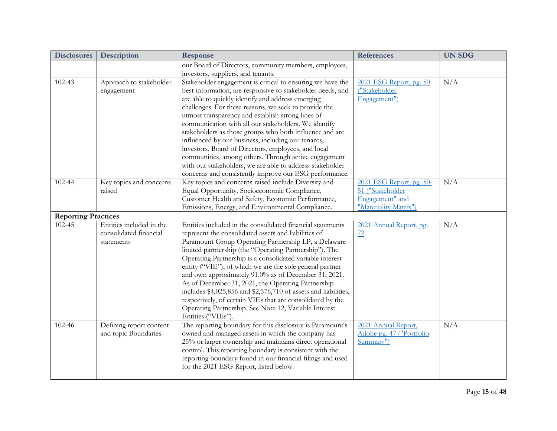| <b>Disclosures</b>         | Description              | Response                                                                                    | <b>References</b>        | <b>UN SDG</b> |
|----------------------------|--------------------------|---------------------------------------------------------------------------------------------|--------------------------|---------------|
|                            |                          | our Board of Directors, community members, employees,<br>investors, suppliers, and tenants. |                          |               |
| 102-43                     | Approach to stakeholder  | Stakeholder engagement is critical to ensuring we have the                                  | 2021 ESG Report, pg. 50  | N/A           |
|                            | engagement               | best information, are responsive to stakeholder needs, and                                  | ("Stakeholder            |               |
|                            |                          | are able to quickly identify and address emerging                                           | Engagement")             |               |
|                            |                          | challenges. For these reasons, we seek to provide the                                       |                          |               |
|                            |                          | utmost transparency and establish strong lines of                                           |                          |               |
|                            |                          | communication with all our stakeholders. We identify                                        |                          |               |
|                            |                          | stakeholders as those groups who both influence and are                                     |                          |               |
|                            |                          | influenced by our business, including our tenants,                                          |                          |               |
|                            |                          | investors, Board of Directors, employees, and local                                         |                          |               |
|                            |                          | communities, among others. Through active engagement                                        |                          |               |
|                            |                          | with our stakeholders, we are able to address stakeholder                                   |                          |               |
|                            |                          | concerns and consistently improve our ESG performance.                                      |                          |               |
| 102-44                     | Key topics and concerns  | Key topics and concerns raised include Diversity and                                        | 2021 ESG Report, pg. 50- | N/A           |
|                            | raised                   | Equal Opportunity, Socioeconomic Compliance,                                                | 51 ("Stakeholder         |               |
|                            |                          | Customer Health and Safety, Economic Performance,                                           | Engagement" and          |               |
|                            |                          | Emissions, Energy, and Environmental Compliance.                                            | "Materiality Matrix")    |               |
| <b>Reporting Practices</b> |                          |                                                                                             |                          |               |
| 102-45                     | Entities included in the | Entities included in the consolidated financial statements                                  | 2021 Annual Report, pg.  | N/A           |
|                            | consolidated financial   | represent the consolidated assets and liabilities of                                        | 72                       |               |
|                            | statements               | Paramount Group Operating Partnership LP, a Delaware                                        |                          |               |
|                            |                          | limited partnership (the "Operating Partnership"). The                                      |                          |               |
|                            |                          | Operating Partnership is a consolidated variable interest                                   |                          |               |
|                            |                          | entity ("VIE"), of which we are the sole general partner                                    |                          |               |
|                            |                          | and own approximately 91.0% as of December 31, 2021.                                        |                          |               |
|                            |                          | As of December 31, 2021, the Operating Partnership                                          |                          |               |
|                            |                          | includes \$4,025,856 and \$2,576,710 of assets and liabilities,                             |                          |               |
|                            |                          | respectively, of certain VIEs that are consolidated by the                                  |                          |               |
|                            |                          | Operating Partnership. See Note 12, Variable Interest                                       |                          |               |
|                            |                          | Entities ("VIEs").                                                                          |                          |               |
| 102-46                     | Defining report content  | The reporting boundary for this disclosure is Paramount's                                   | 2021 Annual Report,      | N/A           |
|                            | and topic Boundaries     | owned and managed assets in which the company has                                           | Adobe pg. 47 ("Portfolio |               |
|                            |                          | 25% or larger ownership and maintains direct operational                                    | Summary")                |               |
|                            |                          | control. This reporting boundary is consistent with the                                     |                          |               |
|                            |                          | reporting boundary found in our financial filings and used                                  |                          |               |
|                            |                          | for the 2021 ESG Report, listed below:                                                      |                          |               |
|                            |                          |                                                                                             |                          |               |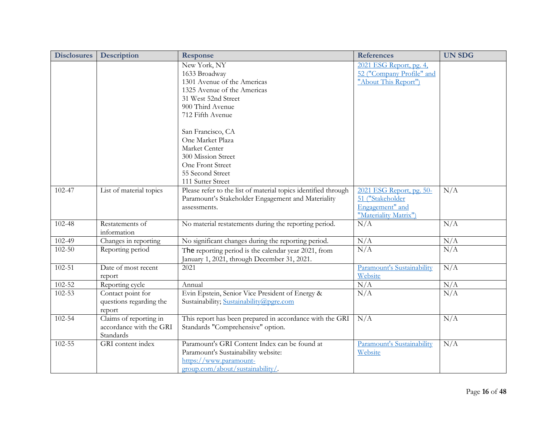| <b>Disclosures</b> | <b>Description</b>                                             | <b>Response</b>                                                                                                                                                                                                                            | <b>References</b>                                                                        | <b>UN SDG</b> |
|--------------------|----------------------------------------------------------------|--------------------------------------------------------------------------------------------------------------------------------------------------------------------------------------------------------------------------------------------|------------------------------------------------------------------------------------------|---------------|
|                    |                                                                | New York, NY<br>1633 Broadway<br>1301 Avenue of the Americas<br>1325 Avenue of the Americas<br>31 West 52nd Street<br>900 Third Avenue<br>712 Fifth Avenue<br>San Francisco, CA<br>One Market Plaza<br>Market Center<br>300 Mission Street | 2021 ESG Report, pg. 4,<br>52 ("Company Profile" and<br>"About This Report")             |               |
|                    |                                                                | One Front Street<br>55 Second Street<br>111 Sutter Street                                                                                                                                                                                  |                                                                                          |               |
| 102-47             | List of material topics                                        | Please refer to the list of material topics identified through<br>Paramount's Stakeholder Engagement and Materiality<br>assessments.                                                                                                       | 2021 ESG Report, pg. 50-<br>51 ("Stakeholder<br>Engagement" and<br>"Materiality Matrix") | N/A           |
| 102-48             | Restatements of<br>information                                 | No material restatements during the reporting period.                                                                                                                                                                                      | N/A                                                                                      | N/A           |
| $102 - 49$         | Changes in reporting                                           | No significant changes during the reporting period.                                                                                                                                                                                        | N/A                                                                                      | N/A           |
| $102 - 50$         | Reporting period                                               | The reporting period is the calendar year 2021, from<br>January 1, 2021, through December 31, 2021.                                                                                                                                        | N/A                                                                                      | N/A           |
| $102 - 51$         | Date of most recent<br>report                                  | 2021                                                                                                                                                                                                                                       | Paramount's Sustainability<br>Website                                                    | N/A           |
| $102 - 52$         | Reporting cycle                                                | Annual                                                                                                                                                                                                                                     | N/A                                                                                      | N/A           |
| 102-53             | Contact point for<br>questions regarding the<br>report         | Evin Epstein, Senior Vice President of Energy &<br>Sustainability; Sustainability@pgre.com                                                                                                                                                 | $\overline{N/A}$                                                                         | N/A           |
| 102-54             | Claims of reporting in<br>accordance with the GRI<br>Standards | This report has been prepared in accordance with the GRI<br>Standards "Comprehensive" option.                                                                                                                                              | N/A                                                                                      | N/A           |
| 102-55             | GRI content index                                              | Paramount's GRI Content Index can be found at<br>Paramount's Sustainability website:<br>https://www.paramount-<br>group.com/about/sustainability/.                                                                                         | Paramount's Sustainability<br>Website                                                    | N/A           |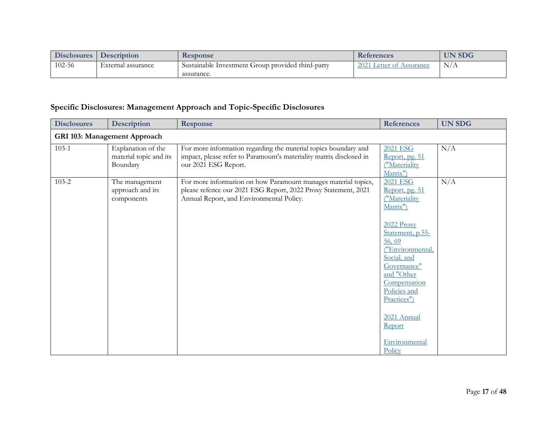| <b>Disclosures</b> | <b>Description</b> | Response                                          | <b>References</b>        | <b>UN SDG</b> |
|--------------------|--------------------|---------------------------------------------------|--------------------------|---------------|
| $102 - 56$         | External assurance | Sustainable Investment Group provided third-party | 2021 Letter of Assurance | N/A           |
|                    |                    | assurance.                                        |                          |               |

## **Specific Disclosures: Management Approach and Topic-Specific Disclosures**

| <b>Disclosures</b> | <b>Description</b>                                       | Response                                                                                                                                                                     | <b>References</b>                                                                                                                                                                                                                                                            | <b>UN SDG</b> |  |  |  |
|--------------------|----------------------------------------------------------|------------------------------------------------------------------------------------------------------------------------------------------------------------------------------|------------------------------------------------------------------------------------------------------------------------------------------------------------------------------------------------------------------------------------------------------------------------------|---------------|--|--|--|
|                    | GRI 103: Management Approach                             |                                                                                                                                                                              |                                                                                                                                                                                                                                                                              |               |  |  |  |
| $103 - 1$          | Explanation of the<br>material topic and its<br>Boundary | For more information regarding the material topics boundary and<br>impact, please refer to Paramount's materiality matrix disclosed in<br>our 2021 ESG Report.               | <b>2021 ESG</b><br>Report, pg. 51<br>("Materiality<br>Matrix")                                                                                                                                                                                                               | N/A           |  |  |  |
| $103 - 2$          | The management<br>approach and its<br>components         | For more information on how Paramount manages material topics,<br>please refence our 2021 ESG Report, 2022 Proxy Statement, 2021<br>Annual Report, and Environmental Policy. | 2021 ESG<br>Report, pg. 51<br>("Materiality<br>Matrix")<br>2022 Proxy<br>Statement, p.55-<br>56,69<br>("Environmental,<br>Social, and<br>Governance"<br>and "Other<br>Compensation<br>Policies and<br>Practices")<br>2021 Annual<br><b>Report</b><br>Environmental<br>Policy | N/A           |  |  |  |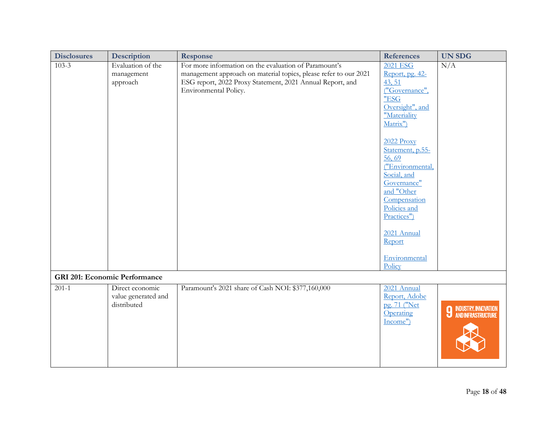| <b>Disclosures</b> | Description                                           | <b>Response</b>                                                                                                                                                                                                 | <b>References</b>                                                                                                                                                                                                                                                                                                                     | <b>UN SDG</b>                                                |
|--------------------|-------------------------------------------------------|-----------------------------------------------------------------------------------------------------------------------------------------------------------------------------------------------------------------|---------------------------------------------------------------------------------------------------------------------------------------------------------------------------------------------------------------------------------------------------------------------------------------------------------------------------------------|--------------------------------------------------------------|
| $103 - 3$          | Evaluation of the<br>management<br>approach           | For more information on the evaluation of Paramount's<br>management approach on material topics, please refer to our 2021<br>ESG report, 2022 Proxy Statement, 2021 Annual Report, and<br>Environmental Policy. | <b>2021 ESG</b><br>Report, pg. 42-<br>43, 51<br>("Governance",<br>"ESG<br>Oversight", and<br>"Materiality<br>Matrix")<br>$2022$ Proxy<br>Statement, p.55-<br>56,69<br>("Environmental,<br>Social, and<br>Governance"<br>and "Other<br>Compensation<br>Policies and<br>Practices")<br>2021 Annual<br>Report<br>Environmental<br>Policy | N/A                                                          |
|                    | <b>GRI 201: Economic Performance</b>                  |                                                                                                                                                                                                                 |                                                                                                                                                                                                                                                                                                                                       |                                                              |
| $201 - 1$          | Direct economic<br>value generated and<br>distributed | Paramount's 2021 share of Cash NOI: \$377,160,000                                                                                                                                                               | 2021 Annual<br>Report, Adobe<br>pg. 71 ("Net<br>Operating<br>Income")                                                                                                                                                                                                                                                                 | <b>9 INDUSTRY, INNOVATION</b><br><b>4 AND INFRASTRUCTURE</b> |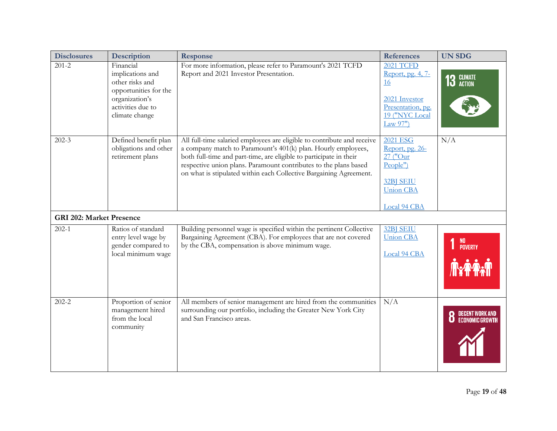| <b>Disclosures</b>              | <b>Description</b>                                                                                                                 | <b>Response</b>                                                                                                                                                                                                                                                                                                                                          | <b>References</b>                                                                                                    | <b>UN SDG</b> |
|---------------------------------|------------------------------------------------------------------------------------------------------------------------------------|----------------------------------------------------------------------------------------------------------------------------------------------------------------------------------------------------------------------------------------------------------------------------------------------------------------------------------------------------------|----------------------------------------------------------------------------------------------------------------------|---------------|
| $201 - 2$                       | Financial<br>implications and<br>other risks and<br>opportunities for the<br>organization's<br>activities due to<br>climate change | For more information, please refer to Paramount's 2021 TCFD<br>Report and 2021 Investor Presentation.                                                                                                                                                                                                                                                    | <b>2021 TCFD</b><br>Report, pg. 4, 7-<br>16<br>2021 Investor<br>Presentation, pg.<br>19 ("NYC Local<br>Law $97"$     | 13 GLIMATE    |
| $202 - 3$                       | Defined benefit plan<br>obligations and other<br>retirement plans                                                                  | All full-time salaried employees are eligible to contribute and receive<br>a company match to Paramount's 401(k) plan. Hourly employees,<br>both full-time and part-time, are eligible to participate in their<br>respective union plans. Paramount contributes to the plans based<br>on what is stipulated within each Collective Bargaining Agreement. | <b>2021 ESG</b><br>Report, pg. 26-<br>$27$ ("Our<br>People")<br><b>32BJ SEIU</b><br><b>Union CBA</b><br>Local 94 CBA | N/A           |
| <b>GRI 202: Market Presence</b> |                                                                                                                                    |                                                                                                                                                                                                                                                                                                                                                          |                                                                                                                      |               |
| $202 - 1$                       | Ratios of standard<br>entry level wage by<br>gender compared to<br>local minimum wage                                              | Building personnel wage is specified within the pertinent Collective<br>Bargaining Agreement (CBA). For employees that are not covered<br>by the CBA, compensation is above minimum wage.                                                                                                                                                                | 32BJ SEIU<br><b>Union CBA</b><br>Local 94 CBA                                                                        | NO<br>Poverty |
| $202 - 2$                       | Proportion of senior<br>management hired<br>from the local<br>community                                                            | All members of senior management are hired from the communities<br>surrounding our portfolio, including the Greater New York City<br>and San Francisco areas.                                                                                                                                                                                            | N/A                                                                                                                  |               |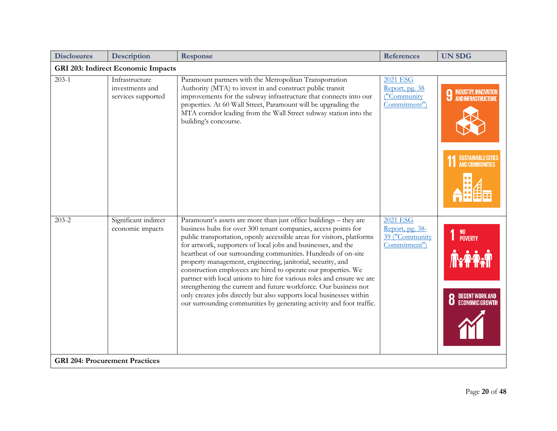| <b>Disclosures</b>                                 | Description                                             | <b>Response</b>                                                                                                                                                                                                                                                                                                                                                                                                                                                                                                                                                                                                                                                                                                                                                               | <b>References</b>                                                    | <b>UN SDG</b>                                                                                              |  |  |  |
|----------------------------------------------------|---------------------------------------------------------|-------------------------------------------------------------------------------------------------------------------------------------------------------------------------------------------------------------------------------------------------------------------------------------------------------------------------------------------------------------------------------------------------------------------------------------------------------------------------------------------------------------------------------------------------------------------------------------------------------------------------------------------------------------------------------------------------------------------------------------------------------------------------------|----------------------------------------------------------------------|------------------------------------------------------------------------------------------------------------|--|--|--|
|                                                    | <b>GRI 203: Indirect Economic Impacts</b>               |                                                                                                                                                                                                                                                                                                                                                                                                                                                                                                                                                                                                                                                                                                                                                                               |                                                                      |                                                                                                            |  |  |  |
| $203-1$                                            | Infrastructure<br>investments and<br>services supported | Paramount partners with the Metropolitan Transportation<br>Authority (MTA) to invest in and construct public transit<br>improvements for the subway infrastructure that connects into our<br>properties. At 60 Wall Street, Paramount will be upgrading the<br>MTA corridor leading from the Wall Street subway station into the<br>building's concourse.                                                                                                                                                                                                                                                                                                                                                                                                                     | 2021 ESG<br>Report, pg. 38<br>("Community<br>Commitment")            | <b>9 INDUSTRY, INNOVATION</b><br>AND INFRASTRUCTURE<br><b>SUSTAINABLE CITIES</b><br><b>AND COMMUNITIES</b> |  |  |  |
| $203 - 2$<br><b>GRI 204: Procurement Practices</b> | Significant indirect<br>economic impacts                | Paramount's assets are more than just office buildings - they are<br>business hubs for over 300 tenant companies, access points for<br>public transportation, openly accessible areas for visitors, platforms<br>for artwork, supporters of local jobs and businesses, and the<br>heartbeat of our surrounding communities. Hundreds of on-site<br>property management, engineering, janitorial, security, and<br>construction employees are hired to operate our properties. We<br>partner with local unions to hire for various roles and ensure we are<br>strengthening the current and future workforce. Our business not<br>only creates jobs directly but also supports local businesses within<br>our surrounding communities by generating activity and foot traffic. | <b>2021 ESG</b><br>Report, pg. 38-<br>39 ("Community<br>Commitment") | NO<br>Poverty<br><b>IFAY</b><br>DECENT WORK AND<br>Economic Growth                                         |  |  |  |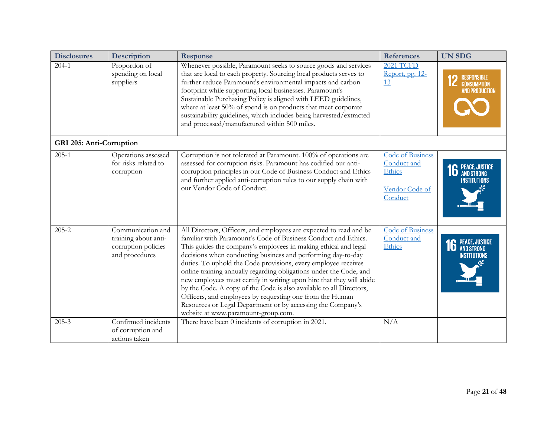| <b>Disclosures</b>       | <b>Description</b>                                                                 | <b>Response</b>                                                                                                                                                                                                                                                                                                                                                                                                                                                                                                                                                                                                                                                                                                                  | <b>References</b>                                                             | <b>UN SDG</b>                                                     |
|--------------------------|------------------------------------------------------------------------------------|----------------------------------------------------------------------------------------------------------------------------------------------------------------------------------------------------------------------------------------------------------------------------------------------------------------------------------------------------------------------------------------------------------------------------------------------------------------------------------------------------------------------------------------------------------------------------------------------------------------------------------------------------------------------------------------------------------------------------------|-------------------------------------------------------------------------------|-------------------------------------------------------------------|
| $204 - 1$                | Proportion of<br>spending on local<br>suppliers                                    | Whenever possible, Paramount seeks to source goods and services<br>that are local to each property. Sourcing local products serves to<br>further reduce Paramount's environmental impacts and carbon<br>footprint while supporting local businesses. Paramount's<br>Sustainable Purchasing Policy is aligned with LEED guidelines,<br>where at least 50% of spend is on products that meet corporate<br>sustainability guidelines, which includes being harvested/extracted<br>and processed/manufactured within 500 miles.                                                                                                                                                                                                      | <b>2021 TCFD</b><br>Report, pg. 12-<br>13                                     | <b>RESPONSIBLE</b><br><b>CONSUMPTION</b><br><b>AND PRODUCTION</b> |
| GRI 205: Anti-Corruption |                                                                                    |                                                                                                                                                                                                                                                                                                                                                                                                                                                                                                                                                                                                                                                                                                                                  |                                                                               |                                                                   |
| $205 - 1$                | Operations assessed<br>for risks related to<br>corruption                          | Corruption is not tolerated at Paramount. 100% of operations are<br>assessed for corruption risks. Paramount has codified our anti-<br>corruption principles in our Code of Business Conduct and Ethics<br>and further applied anti-corruption rules to our supply chain with<br>our Vendor Code of Conduct.                                                                                                                                                                                                                                                                                                                                                                                                                     | <b>Code of Business</b><br>Conduct and<br>Ethics<br>Vendor Code of<br>Conduct | <b>16</b> PEACE, JUSTICE<br><b>INSTITUTIONS</b>                   |
| $205 - 2$                | Communication and<br>training about anti-<br>corruption policies<br>and procedures | All Directors, Officers, and employees are expected to read and be<br>familiar with Paramount's Code of Business Conduct and Ethics.<br>This guides the company's employees in making ethical and legal<br>decisions when conducting business and performing day-to-day<br>duties. To uphold the Code provisions, every employee receives<br>online training annually regarding obligations under the Code, and<br>new employees must certify in writing upon hire that they will abide<br>by the Code. A copy of the Code is also available to all Directors,<br>Officers, and employees by requesting one from the Human<br>Resources or Legal Department or by accessing the Company's<br>website at www.paramount-group.com. | <b>Code of Business</b><br>Conduct and<br>Ethics                              | <b>16 PEACE, JUSTICE</b><br><b>INSTITUTIONS</b>                   |
| $205 - 3$                | Confirmed incidents<br>of corruption and<br>actions taken                          | There have been 0 incidents of corruption in 2021.                                                                                                                                                                                                                                                                                                                                                                                                                                                                                                                                                                                                                                                                               | N/A                                                                           |                                                                   |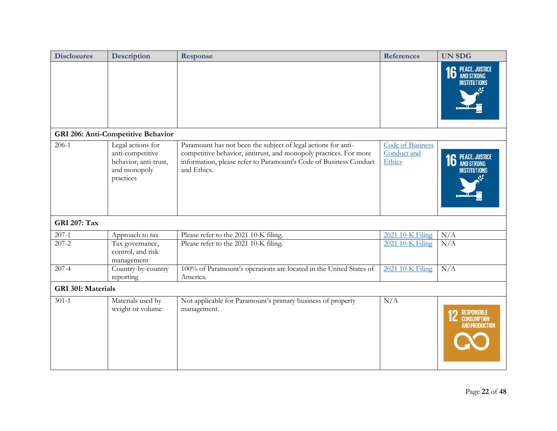| <b>Disclosures</b>        | Description                                                                                 | Response                                                                                                                                                                                                               | <b>References</b>                         | <b>UN SDG</b>                                                     |  |  |
|---------------------------|---------------------------------------------------------------------------------------------|------------------------------------------------------------------------------------------------------------------------------------------------------------------------------------------------------------------------|-------------------------------------------|-------------------------------------------------------------------|--|--|
|                           |                                                                                             |                                                                                                                                                                                                                        |                                           | <b>16</b> PEACE, JUSTICE<br>INSTITUTIONS                          |  |  |
|                           | GRI 206: Anti-Competitive Behavior                                                          |                                                                                                                                                                                                                        |                                           |                                                                   |  |  |
| $206-1$                   | Legal actions for<br>anti-competitive<br>behavior, anti-trust,<br>and monopoly<br>practices | Paramount has not been the subject of legal actions for anti-<br>competitive behavior, antitrust, and monopoly practices. For more<br>information, please refer to Paramount's Code of Business Conduct<br>and Ethics. | Code of Business<br>Conduct and<br>Ethics | <b>6</b> PEACE, JUSTICE<br><b>INSTITUTIONS</b>                    |  |  |
| <b>GRI 207: Tax</b>       |                                                                                             |                                                                                                                                                                                                                        |                                           |                                                                   |  |  |
| $207 - 1$                 | Approach to tax                                                                             | Please refer to the 2021 10-K filing.                                                                                                                                                                                  | 2021 10-K Filing                          | N/A                                                               |  |  |
| $207 - 2$                 | Tax governance,<br>control, and risk<br>management                                          | Please refer to the 2021 10-K filing.                                                                                                                                                                                  | 2021 10-K Filing                          | N/A                                                               |  |  |
| $207-4$                   | Country-by-country<br>reporting                                                             | 100% of Paramount's operations are located in the United States of<br>America.                                                                                                                                         | 2021 10-K Filing                          | N/A                                                               |  |  |
| <b>GRI 301: Materials</b> |                                                                                             |                                                                                                                                                                                                                        |                                           |                                                                   |  |  |
| $301 - 1$                 | Materials used by<br>weight or volume                                                       | Not applicable for Paramount's primary business of property<br>management.                                                                                                                                             | N/A                                       | <b>RESPONSIBLE</b><br><b>CONSUMPTION</b><br><b>AND PRODUCTION</b> |  |  |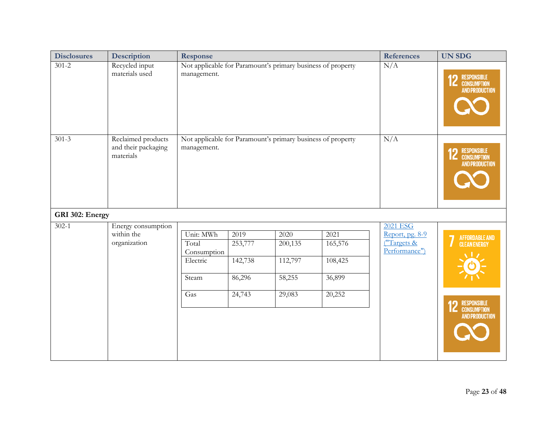| <b>Disclosures</b> | <b>Description</b>                                     | Response                                                                   |                                                            | <b>References</b>                              | <b>UN SDG</b>                                  |                                                                      |                                                                                         |
|--------------------|--------------------------------------------------------|----------------------------------------------------------------------------|------------------------------------------------------------|------------------------------------------------|------------------------------------------------|----------------------------------------------------------------------|-----------------------------------------------------------------------------------------|
| $301 - 2$          | Recycled input<br>materials used                       | Not applicable for Paramount's primary business of property<br>management. |                                                            | N/A                                            | <b>12 RESPONSIBLE</b><br><b>AND PRODUCTION</b> |                                                                      |                                                                                         |
| $301 - 3$          | Reclaimed products<br>and their packaging<br>materials | Not applicable for Paramount's primary business of property<br>management. |                                                            | N/A                                            | <b>12 RESPONSIBLE</b><br><b>AND PRODUCTION</b> |                                                                      |                                                                                         |
| GRI 302: Energy    |                                                        |                                                                            |                                                            |                                                |                                                |                                                                      |                                                                                         |
| $302 - 1$          | Energy consumption<br>within the<br>organization       | Unit: MWh<br>Total<br>Consumption<br>Electric<br>Steam<br>Gas              | $\frac{1}{2019}$<br>253,777<br>142,738<br>86,296<br>24,743 | 2020<br>200,135<br>112,797<br>58,255<br>29,083 | 2021<br>165,576<br>108,425<br>36,899<br>20,252 | <b>2021 ESG</b><br>Report, pg. $8-9$<br>("Targets &<br>Performance") | AFFORDABLE AND<br><b>CLEAN ENERGY</b><br><b>12 RESPONSIBLE</b><br><b>AND PRODUCTION</b> |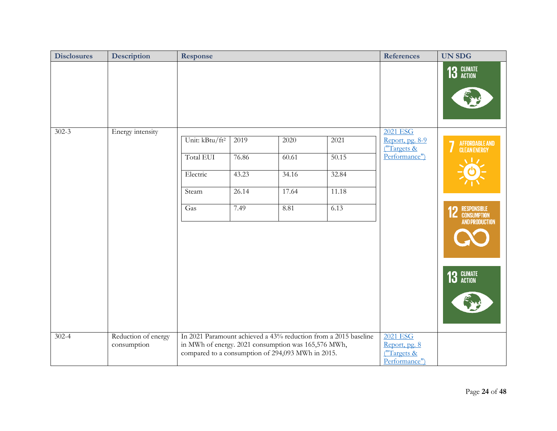| <b>Disclosures</b> | <b>Description</b>                 | <b>Response</b>                                                                                          |                                         |                                         |                                                                 | <b>References</b>                                                  | <b>UN SDG</b>                                                                                  |
|--------------------|------------------------------------|----------------------------------------------------------------------------------------------------------|-----------------------------------------|-----------------------------------------|-----------------------------------------------------------------|--------------------------------------------------------------------|------------------------------------------------------------------------------------------------|
|                    |                                    |                                                                                                          |                                         |                                         |                                                                 |                                                                    | 13 GLIMATE                                                                                     |
| $302 - 3$          | Energy intensity                   | Unit: kBtu/ft <sup>2</sup><br><b>Total EUI</b><br>Electric<br>Steam<br>Gas                               | 2019<br>76.86<br>43.23<br>26.14<br>7.49 | 2020<br>60.61<br>34.16<br>17.64<br>8.81 | 2021<br>50.15<br>32.84<br>11.18<br>6.13                         | <b>2021 ESG</b><br>Report, pg. 8-9<br>("Targets &<br>Performance") | AFFORDABLE AND<br>CLEAN ENERGY<br><b>12 RESPONSIBLE</b><br><b>AND PRODUCTION</b><br>13 GLIMATE |
| $302 - 4$          | Reduction of energy<br>consumption | in MWh of energy. 2021 consumption was 165,576 MWh,<br>compared to a consumption of 294,093 MWh in 2015. |                                         |                                         | In 2021 Paramount achieved a 43% reduction from a 2015 baseline | 2021 ESG<br>Report, pg. 8<br>("Targets &<br>Performance")          |                                                                                                |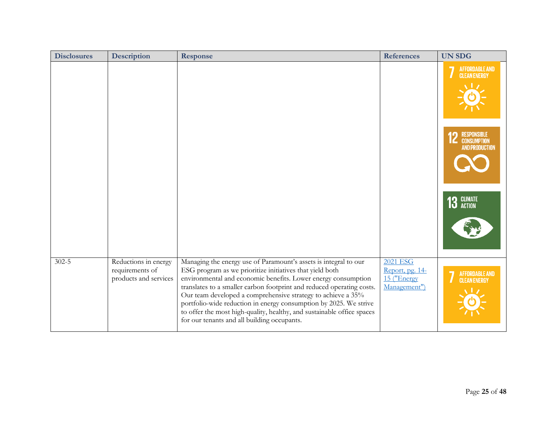| <b>Disclosures</b> | <b>Description</b>                                               | Response                                                                                                                                                                                                                                                                                                                                                                                                                                                                                                                             | <b>References</b>                                          | <b>UN SDG</b>                                  |
|--------------------|------------------------------------------------------------------|--------------------------------------------------------------------------------------------------------------------------------------------------------------------------------------------------------------------------------------------------------------------------------------------------------------------------------------------------------------------------------------------------------------------------------------------------------------------------------------------------------------------------------------|------------------------------------------------------------|------------------------------------------------|
|                    |                                                                  |                                                                                                                                                                                                                                                                                                                                                                                                                                                                                                                                      |                                                            | AFFORDABLE AND<br>CLEAN ENERGY                 |
|                    |                                                                  |                                                                                                                                                                                                                                                                                                                                                                                                                                                                                                                                      |                                                            | <b>12</b> RESPONSIBLE<br><b>AND PRODUCTION</b> |
|                    |                                                                  |                                                                                                                                                                                                                                                                                                                                                                                                                                                                                                                                      |                                                            | 13 GLIMATE                                     |
| $302 - 5$          | Reductions in energy<br>requirements of<br>products and services | Managing the energy use of Paramount's assets is integral to our<br>ESG program as we prioritize initiatives that yield both<br>environmental and economic benefits. Lower energy consumption<br>translates to a smaller carbon footprint and reduced operating costs.<br>Our team developed a comprehensive strategy to achieve a 35%<br>portfolio-wide reduction in energy consumption by 2025. We strive<br>to offer the most high-quality, healthy, and sustainable office spaces<br>for our tenants and all building occupants. | 2021 ESG<br>Report, pg. 14-<br>15 ("Energy<br>Management") | <b>AFFORDABLE AND</b><br><b>CLEAN ENERGY</b>   |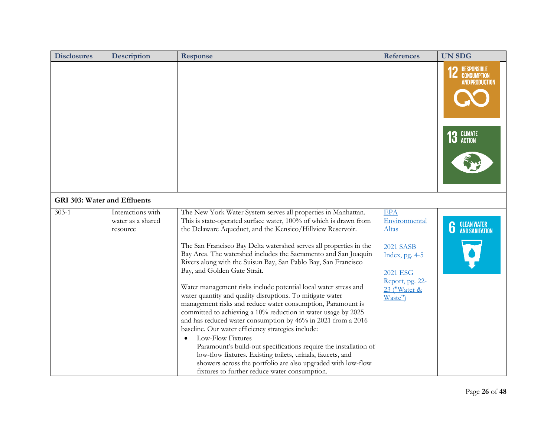| <b>Disclosures</b>                  | <b>Description</b>                                 | <b>Response</b>                                                                                                                                                                                                                                                                                                                                                                                                                                                                                                                                                                                                                                                                                                                                                                                                                                                                                                                                                                                                                                                                                           | <b>References</b>                                                                                                                           | <b>UN SDG</b>                                                                          |
|-------------------------------------|----------------------------------------------------|-----------------------------------------------------------------------------------------------------------------------------------------------------------------------------------------------------------------------------------------------------------------------------------------------------------------------------------------------------------------------------------------------------------------------------------------------------------------------------------------------------------------------------------------------------------------------------------------------------------------------------------------------------------------------------------------------------------------------------------------------------------------------------------------------------------------------------------------------------------------------------------------------------------------------------------------------------------------------------------------------------------------------------------------------------------------------------------------------------------|---------------------------------------------------------------------------------------------------------------------------------------------|----------------------------------------------------------------------------------------|
|                                     |                                                    |                                                                                                                                                                                                                                                                                                                                                                                                                                                                                                                                                                                                                                                                                                                                                                                                                                                                                                                                                                                                                                                                                                           |                                                                                                                                             | <b>RESPONSIBLE</b><br><b>CONSUMPTION</b><br><b>AND PRODUCTION</b><br><b>13 GLIMATE</b> |
|                                     |                                                    |                                                                                                                                                                                                                                                                                                                                                                                                                                                                                                                                                                                                                                                                                                                                                                                                                                                                                                                                                                                                                                                                                                           |                                                                                                                                             |                                                                                        |
| <b>GRI 303: Water and Effluents</b> |                                                    |                                                                                                                                                                                                                                                                                                                                                                                                                                                                                                                                                                                                                                                                                                                                                                                                                                                                                                                                                                                                                                                                                                           |                                                                                                                                             |                                                                                        |
| $303 - 1$                           | Interactions with<br>water as a shared<br>resource | The New York Water System serves all properties in Manhattan.<br>This is state-operated surface water, 100% of which is drawn from<br>the Delaware Aqueduct, and the Kensico/Hillview Reservoir.<br>The San Francisco Bay Delta watershed serves all properties in the<br>Bay Area. The watershed includes the Sacramento and San Joaquin<br>Rivers along with the Suisun Bay, San Pablo Bay, San Francisco<br>Bay, and Golden Gate Strait.<br>Water management risks include potential local water stress and<br>water quantity and quality disruptions. To mitigate water<br>management risks and reduce water consumption, Paramount is<br>committed to achieving a 10% reduction in water usage by 2025<br>and has reduced water consumption by 46% in 2021 from a 2016<br>baseline. Our water efficiency strategies include:<br>Low-Flow Fixtures<br>Paramount's build-out specifications require the installation of<br>low-flow fixtures. Existing toilets, urinals, faucets, and<br>showers across the portfolio are also upgraded with low-flow<br>fixtures to further reduce water consumption. | <b>EPA</b><br>Environmental<br><u>Altas</u><br><b>2021 SASB</b><br>Index, pg. 4-5<br>2021 ESG<br>Report, pg. 22-<br>23 ("Water &<br>Waste") | <b>CLEAN WATER</b><br>AND SANITATION<br>6                                              |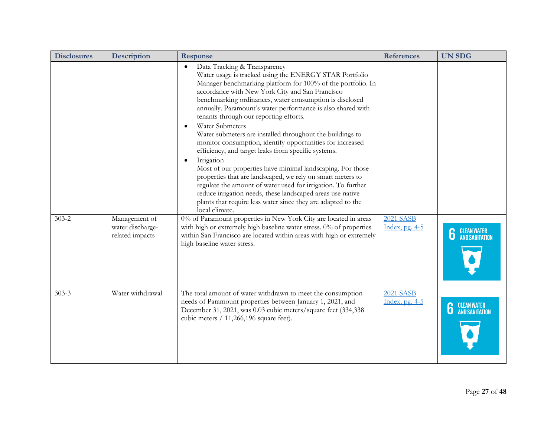| <b>Disclosures</b> | <b>Description</b>                                   | <b>Response</b>                                                                                                                                                                                                                                                                                                                                                                                                                                                                                                                                                                                                                                                                                                                                                                                                                                                                                                                                                                          | <b>References</b>                  | <b>UN SDG</b>                         |
|--------------------|------------------------------------------------------|------------------------------------------------------------------------------------------------------------------------------------------------------------------------------------------------------------------------------------------------------------------------------------------------------------------------------------------------------------------------------------------------------------------------------------------------------------------------------------------------------------------------------------------------------------------------------------------------------------------------------------------------------------------------------------------------------------------------------------------------------------------------------------------------------------------------------------------------------------------------------------------------------------------------------------------------------------------------------------------|------------------------------------|---------------------------------------|
|                    |                                                      | Data Tracking & Transparency<br>$\bullet$<br>Water usage is tracked using the ENERGY STAR Portfolio<br>Manager benchmarking platform for 100% of the portfolio. In<br>accordance with New York City and San Francisco<br>benchmarking ordinances, water consumption is disclosed<br>annually. Paramount's water performance is also shared with<br>tenants through our reporting efforts.<br><b>Water Submeters</b><br>$\bullet$<br>Water submeters are installed throughout the buildings to<br>monitor consumption, identify opportunities for increased<br>efficiency, and target leaks from specific systems.<br>Irrigation<br>$\bullet$<br>Most of our properties have minimal landscaping. For those<br>properties that are landscaped, we rely on smart meters to<br>regulate the amount of water used for irrigation. To further<br>reduce irrigation needs, these landscaped areas use native<br>plants that require less water since they are adapted to the<br>local climate. |                                    |                                       |
| $303 - 2$          | Management of<br>water discharge-<br>related impacts | 0% of Paramount properties in New York City are located in areas<br>with high or extremely high baseline water stress. 0% of properties<br>within San Francisco are located within areas with high or extremely<br>high baseline water stress.                                                                                                                                                                                                                                                                                                                                                                                                                                                                                                                                                                                                                                                                                                                                           | <b>2021 SASB</b><br>Index, pg. 4-5 | <b>CLEAN WATER<br/>AND SANITATION</b> |
| $303 - 3$          | Water withdrawal                                     | The total amount of water withdrawn to meet the consumption<br>needs of Paramount properties between January 1, 2021, and<br>December 31, 2021, was 0.03 cubic meters/square feet (334,338)<br>cubic meters / 11,266,196 square feet).                                                                                                                                                                                                                                                                                                                                                                                                                                                                                                                                                                                                                                                                                                                                                   | <b>2021 SASB</b><br>Index, pg. 4-5 | <b>CLEAN WATER<br/>AND SANITATION</b> |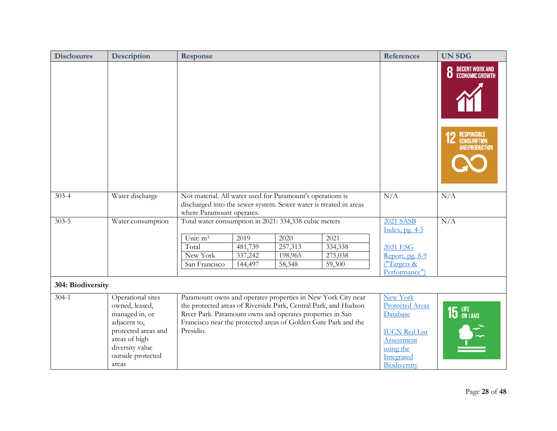| <b>Disclosures</b> | <b>Description</b>                                                                                                                                             | Response                                                                                                                                                                                                                                                                    |                                      |                                      | <b>References</b>                                                                                                               | <b>UN SDG</b>                                                                             |
|--------------------|----------------------------------------------------------------------------------------------------------------------------------------------------------------|-----------------------------------------------------------------------------------------------------------------------------------------------------------------------------------------------------------------------------------------------------------------------------|--------------------------------------|--------------------------------------|---------------------------------------------------------------------------------------------------------------------------------|-------------------------------------------------------------------------------------------|
|                    |                                                                                                                                                                |                                                                                                                                                                                                                                                                             |                                      |                                      |                                                                                                                                 | DECENT WORK AND<br>Economic Growth<br>0<br><b>12 RESPONSIBLE</b><br><b>AND PRODUCTION</b> |
| $303 - 4$          | Water discharge                                                                                                                                                | Not material. All water used for Paramount's operations is<br>discharged into the sewer system. Sewer water is treated in areas<br>where Paramount operates.                                                                                                                |                                      | N/A                                  | N/A                                                                                                                             |                                                                                           |
| $303 - 5$          | Water consumption                                                                                                                                              | Total water consumption in 2021: 334,338 cubic meters                                                                                                                                                                                                                       |                                      |                                      | <b>2021 SASB</b><br>Index, pg. 4-5                                                                                              | N/A                                                                                       |
|                    |                                                                                                                                                                | Unit: m <sup>3</sup><br>2019<br>Total<br>481,739<br>New York<br>337,242<br>San Francisco<br>144,497                                                                                                                                                                         | 2020<br>257,313<br>198,965<br>58,348 | 2021<br>334,338<br>275,038<br>59,300 | <b>2021 ESG</b><br>Report, pg. 8-9<br>("Targets &<br>Performance")                                                              |                                                                                           |
| 304: Biodiversity  |                                                                                                                                                                |                                                                                                                                                                                                                                                                             |                                      |                                      |                                                                                                                                 |                                                                                           |
| $304 - 1$          | Operational sites<br>owned, leased,<br>managed in, or<br>adjacent to,<br>protected areas and<br>areas of high<br>diversity value<br>outside protected<br>areas | Paramount owns and operates properties in New York City near<br>the protected areas of Riverside Park, Central Park, and Hudson<br>River Park. Paramount owns and operates properties in San<br>Francisco near the protected areas of Golden Gate Park and the<br>Presidio. |                                      |                                      | New York<br><b>Protected Areas</b><br>Database<br><b>IUCN Red List</b><br>Assessment<br>using the<br>Integrated<br>Biodiversity | $15$ $^{LIE}$ on land<br>\$~                                                              |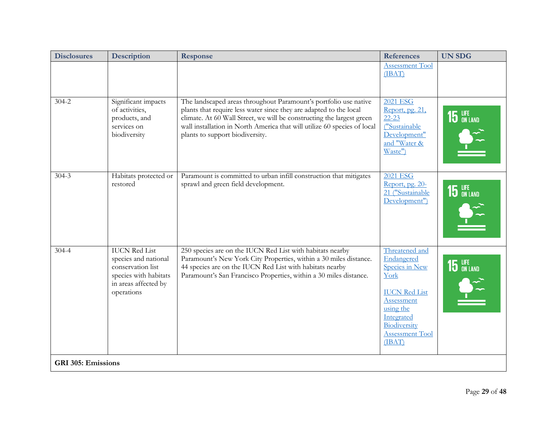| <b>Disclosures</b>        | <b>Description</b>                                                                                                               | <b>Response</b>                                                                                                                                                                                                                                                                                                                | <b>References</b>                                                                                                                                                           | <b>UN SDG</b>  |
|---------------------------|----------------------------------------------------------------------------------------------------------------------------------|--------------------------------------------------------------------------------------------------------------------------------------------------------------------------------------------------------------------------------------------------------------------------------------------------------------------------------|-----------------------------------------------------------------------------------------------------------------------------------------------------------------------------|----------------|
|                           |                                                                                                                                  |                                                                                                                                                                                                                                                                                                                                | <b>Assessment Tool</b><br>(IBAT)                                                                                                                                            |                |
| $304 - 2$                 | Significant impacts<br>of activities,<br>products, and<br>services on<br>biodiversity                                            | The landscaped areas throughout Paramount's portfolio use native<br>plants that require less water since they are adapted to the local<br>climate. At 60 Wall Street, we will be constructing the largest green<br>wall installation in North America that will utilize 60 species of local<br>plants to support biodiversity. | <b>2021 ESG</b><br>Report, pg. 21,<br>$22 - 23$<br>("Sustainable<br>Development"<br>and "Water &<br>Waste")                                                                 | 15 LIFE        |
| $304 - 3$                 | Habitats protected or<br>restored                                                                                                | Paramount is committed to urban infill construction that mitigates<br>sprawl and green field development.                                                                                                                                                                                                                      | 2021 ESG<br>Report, pg. 20-<br>21 ("Sustainable<br>Development")                                                                                                            | <b>15 LIFE</b> |
| $304 - 4$                 | <b>IUCN Red List</b><br>species and national<br>conservation list<br>species with habitats<br>in areas affected by<br>operations | 250 species are on the IUCN Red List with habitats nearby<br>Paramount's New York City Properties, within a 30 miles distance.<br>44 species are on the IUCN Red List with habitats nearby<br>Paramount's San Francisco Properties, within a 30 miles distance.                                                                | Threatened and<br>Endangered<br>Species in New<br>York<br><b>IUCN Red List</b><br>Assessment<br>using the<br>Integrated<br>Biodiversity<br><b>Assessment Tool</b><br>(IBAT) | <b>15</b> LIFE |
| <b>GRI 305: Emissions</b> |                                                                                                                                  |                                                                                                                                                                                                                                                                                                                                |                                                                                                                                                                             |                |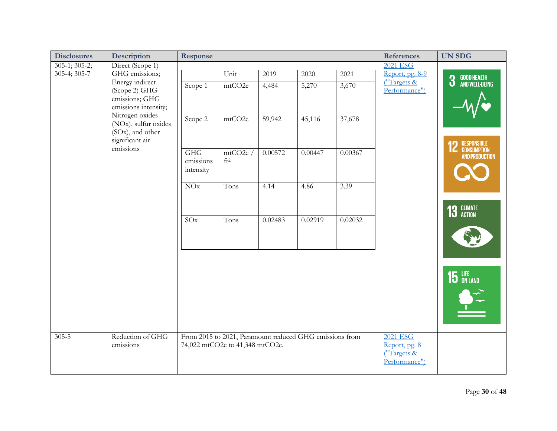| <b>Disclosures</b> | Description                                                                                 | Response                                                                                   |                            |         |         |         | <b>References</b>                                                | <b>UN SDG</b>                      |
|--------------------|---------------------------------------------------------------------------------------------|--------------------------------------------------------------------------------------------|----------------------------|---------|---------|---------|------------------------------------------------------------------|------------------------------------|
| $305-1; 305-2;$    | Direct (Scope 1)                                                                            |                                                                                            |                            |         |         |         | <b>2021 ESG</b>                                                  |                                    |
| 305-4; 305-7       | GHG emissions;                                                                              |                                                                                            | Unit                       | 2019    | 2020    | 2021    | Report, pg. 8-9                                                  |                                    |
|                    | Energy indirect<br>(Scope 2) GHG<br>emissions; GHG<br>emissions intensity;                  | Scope 1                                                                                    | mtCO2e                     | 4,484   | 5,270   | 3,670   | ("Targets &<br>Performance")                                     | GOOD HEALTH<br>And Well-Being<br>3 |
|                    | Nitrogen oxides<br>(NO <sub>x</sub> ), sulfur oxides<br>(SOx), and other<br>significant air | Scope 2                                                                                    | mtCO2e                     | 59,942  | 45,116  | 37,678  |                                                                  | <b>12 RESPONSIBLE</b>              |
|                    | emissions                                                                                   | GHG<br>emissions<br>intensity                                                              | mtCO2e/<br>ft <sup>2</sup> | 0.00572 | 0.00447 | 0.00367 |                                                                  | <b>AND PRODUCTION</b>              |
|                    |                                                                                             | NOx                                                                                        | Tons                       | 4.14    | 4.86    | 3.39    |                                                                  |                                    |
|                    |                                                                                             | SOx                                                                                        | Tons                       | 0.02483 | 0.02919 | 0.02032 |                                                                  | 13 GLIMATE                         |
|                    |                                                                                             |                                                                                            |                            |         |         |         |                                                                  | 15 LIFE ON LAND                    |
| $305 - 5$          | Reduction of GHG<br>emissions                                                               | From 2015 to 2021, Paramount reduced GHG emissions from<br>74,022 mtCO2e to 41,348 mtCO2e. |                            |         |         |         | <b>2021 ESG</b><br>Report, pg. 8<br>("Targets &<br>Performance") |                                    |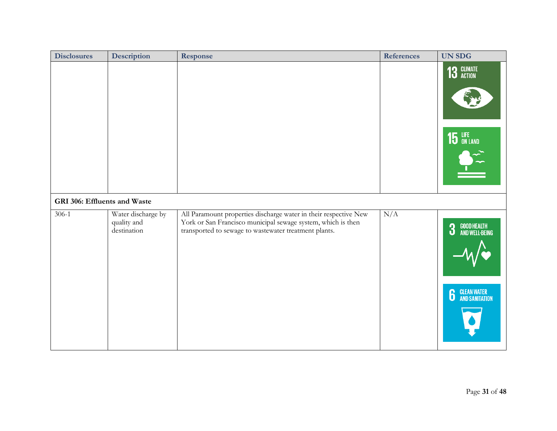| <b>Disclosures</b>           | <b>Description</b>                               | Response                                                                                                                                                                                  | <b>References</b> | <b>UN SDG</b>                                              |
|------------------------------|--------------------------------------------------|-------------------------------------------------------------------------------------------------------------------------------------------------------------------------------------------|-------------------|------------------------------------------------------------|
|                              |                                                  |                                                                                                                                                                                           |                   | 13 GLIMATE<br>15 LIFE                                      |
| GRI 306: Effluents and Waste |                                                  |                                                                                                                                                                                           |                   |                                                            |
| $306-1$                      | Water discharge by<br>quality and<br>destination | All Paramount properties discharge water in their respective New<br>York or San Francisco municipal sewage system, which is then<br>transported to sewage to wastewater treatment plants. | N/A               | GOOD HEALTH<br>And Well-Being<br>3<br><b>6</b> CLEAN WATER |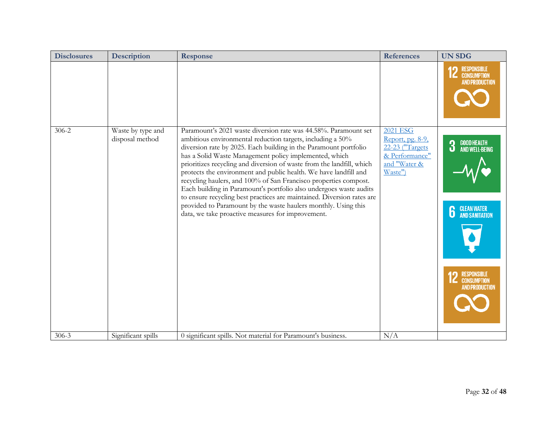| <b>Disclosures</b> | <b>Description</b>                   | <b>Response</b>                                                                                                                                                                                                                                                                                                                                                                                                                                                                                                                                                                                                                                                                                                                                     | <b>References</b>                                                                                   | <b>UN SDG</b>                                                                                                                            |
|--------------------|--------------------------------------|-----------------------------------------------------------------------------------------------------------------------------------------------------------------------------------------------------------------------------------------------------------------------------------------------------------------------------------------------------------------------------------------------------------------------------------------------------------------------------------------------------------------------------------------------------------------------------------------------------------------------------------------------------------------------------------------------------------------------------------------------------|-----------------------------------------------------------------------------------------------------|------------------------------------------------------------------------------------------------------------------------------------------|
|                    |                                      |                                                                                                                                                                                                                                                                                                                                                                                                                                                                                                                                                                                                                                                                                                                                                     |                                                                                                     | <b>RESPONSIBLE</b><br><b>CONSUMPTION</b><br><b>AND PRODUCTION</b>                                                                        |
| $306 - 2$          | Waste by type and<br>disposal method | Paramount's 2021 waste diversion rate was 44.58%. Paramount set<br>ambitious environmental reduction targets, including a 50%<br>diversion rate by 2025. Each building in the Paramount portfolio<br>has a Solid Waste Management policy implemented, which<br>prioritizes recycling and diversion of waste from the landfill, which<br>protects the environment and public health. We have landfill and<br>recycling haulers, and 100% of San Francisco properties compost.<br>Each building in Paramount's portfolio also undergoes waste audits<br>to ensure recycling best practices are maintained. Diversion rates are<br>provided to Paramount by the waste haulers monthly. Using this<br>data, we take proactive measures for improvement. | <b>2021 ESG</b><br>Report, pg. 8-9,<br>22-23 ("Targets<br>& Performance"<br>and "Water &<br>Waste") | GOOD HEALTH<br>And Well-Being<br>3<br><b>CLEAN WATER</b><br>AND SANITATION<br><b>RESPONSIBLE</b><br>CONSUMPTION<br><b>AND PRODUCTION</b> |
| $306 - 3$          | Significant spills                   | 0 significant spills. Not material for Paramount's business.                                                                                                                                                                                                                                                                                                                                                                                                                                                                                                                                                                                                                                                                                        | N/A                                                                                                 |                                                                                                                                          |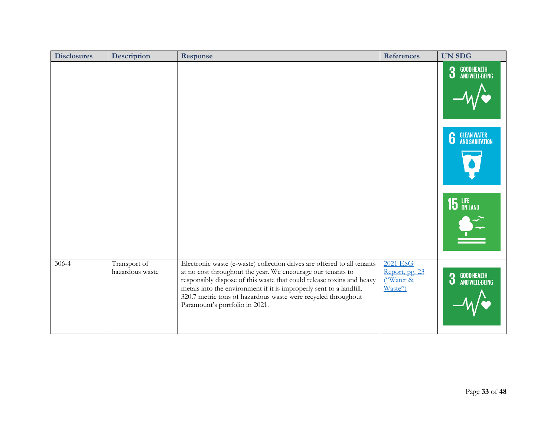| <b>Disclosures</b> | <b>Description</b>              | Response                                                                                                                                                                                                                                                                                                                                                                                  | <b>References</b>                                             | <b>UN SDG</b>                      |
|--------------------|---------------------------------|-------------------------------------------------------------------------------------------------------------------------------------------------------------------------------------------------------------------------------------------------------------------------------------------------------------------------------------------------------------------------------------------|---------------------------------------------------------------|------------------------------------|
|                    |                                 |                                                                                                                                                                                                                                                                                                                                                                                           |                                                               | GOOD HEALTH<br>And Well-Being<br>3 |
|                    |                                 |                                                                                                                                                                                                                                                                                                                                                                                           |                                                               | <b>6</b> GLEAN WATER               |
|                    |                                 |                                                                                                                                                                                                                                                                                                                                                                                           |                                                               | <b>15</b> LIFE                     |
| $306 - 4$          | Transport of<br>hazardous waste | Electronic waste (e-waste) collection drives are offered to all tenants<br>at no cost throughout the year. We encourage our tenants to<br>responsibly dispose of this waste that could release toxins and heavy<br>metals into the environment if it is improperly sent to a landfill.<br>320.7 metric tons of hazardous waste were recycled throughout<br>Paramount's portfolio in 2021. | 2021 ESG<br>Report, pg. 23<br><u>("Water &amp;</u><br>Waste") | GOOD HEALTH<br>AND WELL-BEING<br>3 |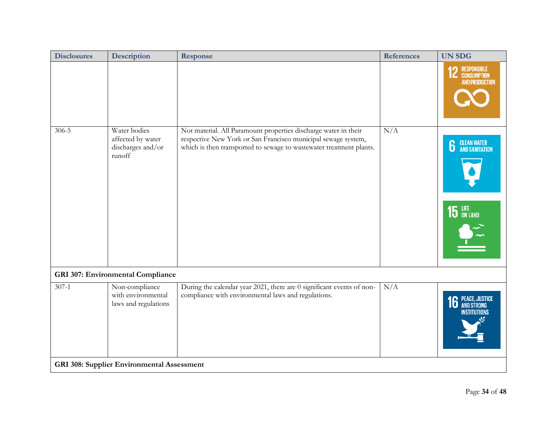| <b>Disclosures</b> | Description                                                      | Response                                                                                                                                                                                                | <b>References</b> | <b>UN SDG</b>                                              |
|--------------------|------------------------------------------------------------------|---------------------------------------------------------------------------------------------------------------------------------------------------------------------------------------------------------|-------------------|------------------------------------------------------------|
|                    |                                                                  |                                                                                                                                                                                                         |                   | <b>RESPONSIBLE</b><br>CONSUMPTION<br><b>AND PRODUCTION</b> |
| $306 - 5$          | Water bodies<br>affected by water<br>discharges and/or<br>runoff | Not material. All Paramount properties discharge water in their<br>respective New York or San Francisco municipal sewage system,<br>which is then transported to sewage to wastewater treatment plants. | N/A               | <b>CLEAN WATER</b><br>AND SANITATION<br>6<br>15 LIFE       |
|                    | <b>GRI 307: Environmental Compliance</b>                         |                                                                                                                                                                                                         |                   |                                                            |
| $307-1$            | Non-compliance<br>with environmental<br>laws and regulations     | During the calendar year 2021, there are 0 significant events of non-<br>compliance with environmental laws and regulations.                                                                            | N/A               | <b>16 PEACE, JUSTICE</b><br>NSTITUTIONS                    |
|                    | <b>GRI 308: Supplier Environmental Assessment</b>                |                                                                                                                                                                                                         |                   |                                                            |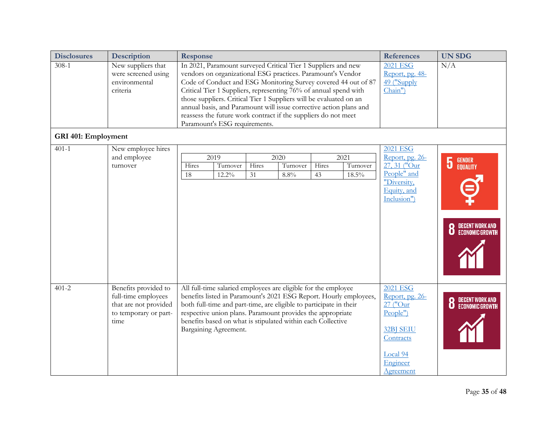| <b>Disclosures</b>         | Description                                                                                           | <b>Response</b>                                                                                                                                                                                                                                                                                                                                                                                                                                                                                                   |                      |             |                          |             |                                                                   | <b>References</b>                                                                                                                | <b>UN SDG</b>                                                                      |
|----------------------------|-------------------------------------------------------------------------------------------------------|-------------------------------------------------------------------------------------------------------------------------------------------------------------------------------------------------------------------------------------------------------------------------------------------------------------------------------------------------------------------------------------------------------------------------------------------------------------------------------------------------------------------|----------------------|-------------|--------------------------|-------------|-------------------------------------------------------------------|----------------------------------------------------------------------------------------------------------------------------------|------------------------------------------------------------------------------------|
| $308-1$                    | New suppliers that<br>were screened using<br>environmental<br>criteria                                | In 2021, Paramount surveyed Critical Tier 1 Suppliers and new<br>vendors on organizational ESG practices. Paramount's Vendor<br>Code of Conduct and ESG Monitoring Survey covered 44 out of 87<br>Critical Tier 1 Suppliers, representing 76% of annual spend with<br>those suppliers. Critical Tier 1 Suppliers will be evaluated on an<br>annual basis, and Paramount will issue corrective action plans and<br>reassess the future work contract if the suppliers do not meet<br>Paramount's ESG requirements. |                      |             |                          |             |                                                                   | <b>2021 ESG</b><br>Report, pg. 48-<br>49 ("Supply<br>Chain")                                                                     | N/A                                                                                |
| <b>GRI 401: Employment</b> |                                                                                                       |                                                                                                                                                                                                                                                                                                                                                                                                                                                                                                                   |                      |             |                          |             |                                                                   |                                                                                                                                  |                                                                                    |
| $401 - 1$                  | New employee hires<br>and employee<br>turnover                                                        | 2019<br>Hires<br>18                                                                                                                                                                                                                                                                                                                                                                                                                                                                                               | Turnover<br>$12.2\%$ | Hires<br>31 | 2020<br>Turnover<br>8.8% | Hires<br>43 | 2021<br>Turnover<br>18.5%                                         | <b>2021 ESG</b><br>Report, pg. 26-<br>27, 31 ("Our<br>People" and<br>"Diversity,<br>Equity, and<br>Inclusion")                   | $\overline{5}$<br><b>GENDER<br/>EQUALITY</b><br>DECENT WORK AND<br>Economic Growth |
| $401 - 2$                  | Benefits provided to<br>full-time employees<br>that are not provided<br>to temporary or part-<br>time | All full-time salaried employees are eligible for the employee<br>both full-time and part-time, are eligible to participate in their<br>respective union plans. Paramount provides the appropriate<br>benefits based on what is stipulated within each Collective<br>Bargaining Agreement.                                                                                                                                                                                                                        |                      |             |                          |             | benefits listed in Paramount's 2021 ESG Report. Hourly employees, | <b>2021 ESG</b><br>Report, pg. 26-<br>27 ("Our<br>People")<br><b>32BJ SEIU</b><br>Contracts<br>Local 94<br>Engineer<br>Agreement | DECENT WORK AND<br>Economic Growth<br>8                                            |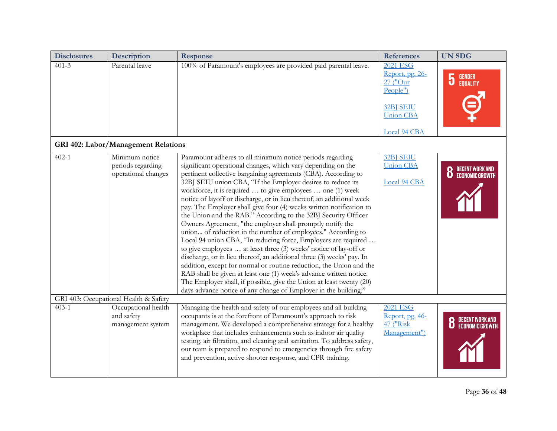| <b>Disclosures</b> | Description                                                | Response                                                                                                                                                                                                                                                                                                                                                                                                                                                                                                                                                                                                                                                                                                                                                                                                                                                                                                                                                                                                                                                                                                                                                                        | <b>References</b>                                                                                           | <b>UN SDG</b>                           |
|--------------------|------------------------------------------------------------|---------------------------------------------------------------------------------------------------------------------------------------------------------------------------------------------------------------------------------------------------------------------------------------------------------------------------------------------------------------------------------------------------------------------------------------------------------------------------------------------------------------------------------------------------------------------------------------------------------------------------------------------------------------------------------------------------------------------------------------------------------------------------------------------------------------------------------------------------------------------------------------------------------------------------------------------------------------------------------------------------------------------------------------------------------------------------------------------------------------------------------------------------------------------------------|-------------------------------------------------------------------------------------------------------------|-----------------------------------------|
| $401 - 3$          | Parental leave                                             | 100% of Paramount's employees are provided paid parental leave.                                                                                                                                                                                                                                                                                                                                                                                                                                                                                                                                                                                                                                                                                                                                                                                                                                                                                                                                                                                                                                                                                                                 | 2021 ESG<br>Report, pg. 26-<br>27 ("Our<br>People")<br><b>32BJ SEIU</b><br><b>Union CBA</b><br>Local 94 CBA | <b>GENDER<br/>EQUALITY</b><br>5         |
|                    | <b>GRI 402: Labor/Management Relations</b>                 |                                                                                                                                                                                                                                                                                                                                                                                                                                                                                                                                                                                                                                                                                                                                                                                                                                                                                                                                                                                                                                                                                                                                                                                 |                                                                                                             |                                         |
| $402 - 1$          | Minimum notice<br>periods regarding<br>operational changes | Paramount adheres to all minimum notice periods regarding<br>significant operational changes, which vary depending on the<br>pertinent collective bargaining agreements (CBA). According to<br>32BJ SEIU union CBA, "If the Employer desires to reduce its<br>workforce, it is required  to give employees  one (1) week<br>notice of layoff or discharge, or in lieu thereof, an additional week<br>pay. The Employer shall give four (4) weeks written notification to<br>the Union and the RAB." According to the 32BJ Security Officer<br>Owners Agreement, "the employer shall promptly notify the<br>union of reduction in the number of employees." According to<br>Local 94 union CBA, "In reducing force, Employers are required<br>to give employees  at least three (3) weeks' notice of lay-off or<br>discharge, or in lieu thereof, an additional three (3) weeks' pay. In<br>addition, except for normal or routine reduction, the Union and the<br>RAB shall be given at least one (1) week's advance written notice.<br>The Employer shall, if possible, give the Union at least twenty (20)<br>days advance notice of any change of Employer in the building." | <b>32BJ SEIU</b><br><b>Union CBA</b><br>Local 94 CBA                                                        | DECENT WORK AND<br>Economic Growth<br>8 |
|                    | GRI 403: Occupational Health & Safety                      |                                                                                                                                                                                                                                                                                                                                                                                                                                                                                                                                                                                                                                                                                                                                                                                                                                                                                                                                                                                                                                                                                                                                                                                 |                                                                                                             |                                         |
| $403 - 1$          | Occupational health<br>and safety<br>management system     | Managing the health and safety of our employees and all building<br>occupants is at the forefront of Paramount's approach to risk<br>management. We developed a comprehensive strategy for a healthy<br>workplace that includes enhancements such as indoor air quality<br>testing, air filtration, and cleaning and sanitation. To address safety,<br>our team is prepared to respond to emergencies through fire safety<br>and prevention, active shooter response, and CPR training.                                                                                                                                                                                                                                                                                                                                                                                                                                                                                                                                                                                                                                                                                         | <b>2021 ESG</b><br>Report, pg. 46-<br>47 ("Risk<br>Management")                                             |                                         |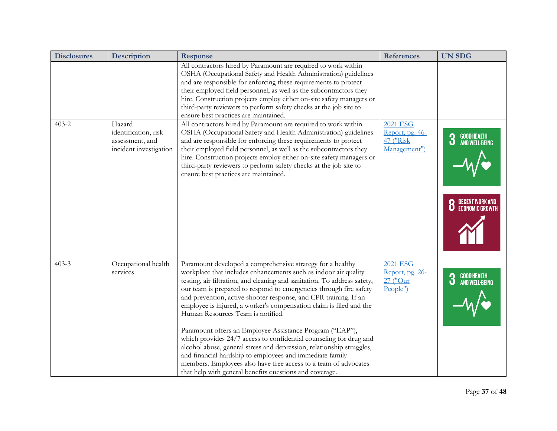| <b>Disclosures</b> | <b>Description</b>                                                          | <b>Response</b>                                                                                                                                                                                                                                                                                                                                                                                                                                                                                                                                                                                                                                                                                                                                                                                                                                                      | <b>References</b>                                               | <b>UN SDG</b>                                                            |
|--------------------|-----------------------------------------------------------------------------|----------------------------------------------------------------------------------------------------------------------------------------------------------------------------------------------------------------------------------------------------------------------------------------------------------------------------------------------------------------------------------------------------------------------------------------------------------------------------------------------------------------------------------------------------------------------------------------------------------------------------------------------------------------------------------------------------------------------------------------------------------------------------------------------------------------------------------------------------------------------|-----------------------------------------------------------------|--------------------------------------------------------------------------|
|                    |                                                                             | All contractors hired by Paramount are required to work within<br>OSHA (Occupational Safety and Health Administration) guidelines<br>and are responsible for enforcing these requirements to protect<br>their employed field personnel, as well as the subcontractors they<br>hire. Construction projects employ either on-site safety managers or<br>third-party reviewers to perform safety checks at the job site to<br>ensure best practices are maintained.                                                                                                                                                                                                                                                                                                                                                                                                     |                                                                 |                                                                          |
| $403 - 2$          | Hazard<br>identification, risk<br>assessment, and<br>incident investigation | All contractors hired by Paramount are required to work within<br>OSHA (Occupational Safety and Health Administration) guidelines<br>and are responsible for enforcing these requirements to protect<br>their employed field personnel, as well as the subcontractors they<br>hire. Construction projects employ either on-site safety managers or<br>third-party reviewers to perform safety checks at the job site to<br>ensure best practices are maintained.                                                                                                                                                                                                                                                                                                                                                                                                     | <b>2021 ESG</b><br>Report, pg. 46-<br>47 ("Risk<br>Management") | GOOD HEALTH<br>And Well-Being<br>3<br>DECENT WORK AND<br>Economic Growth |
| $403 - 3$          | Occupational health<br>services                                             | Paramount developed a comprehensive strategy for a healthy<br>workplace that includes enhancements such as indoor air quality<br>testing, air filtration, and cleaning and sanitation. To address safety,<br>our team is prepared to respond to emergencies through fire safety<br>and prevention, active shooter response, and CPR training. If an<br>employee is injured, a worker's compensation claim is filed and the<br>Human Resources Team is notified.<br>Paramount offers an Employee Assistance Program ("EAP"),<br>which provides 24/7 access to confidential counseling for drug and<br>alcohol abuse, general stress and depression, relationship struggles,<br>and financial hardship to employees and immediate family<br>members. Employees also have free access to a team of advocates<br>that help with general benefits questions and coverage. | <b>2021 ESG</b><br>Report, pg. 26-<br>27 ("Our<br>People")      | GOOD HEALTH<br>And Well-Being<br>3                                       |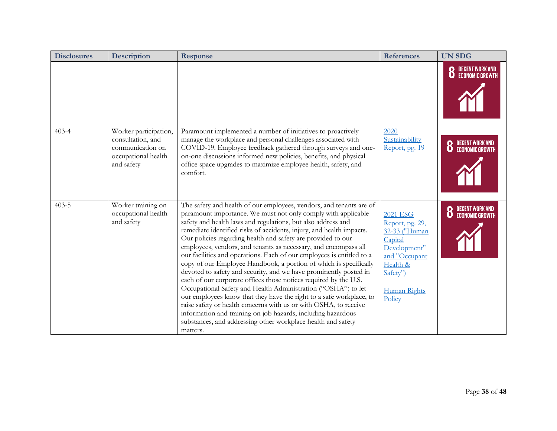| <b>Disclosures</b> | Description                                                                                         | <b>Response</b>                                                                                                                                                                                                                                                                                                                                                                                                                                                                                                                                                                                                                                                                                                                                                                                                                                                                                                                                                                                                                                                | <b>References</b>                                                                                                                                        | <b>UN SDG</b>                      |
|--------------------|-----------------------------------------------------------------------------------------------------|----------------------------------------------------------------------------------------------------------------------------------------------------------------------------------------------------------------------------------------------------------------------------------------------------------------------------------------------------------------------------------------------------------------------------------------------------------------------------------------------------------------------------------------------------------------------------------------------------------------------------------------------------------------------------------------------------------------------------------------------------------------------------------------------------------------------------------------------------------------------------------------------------------------------------------------------------------------------------------------------------------------------------------------------------------------|----------------------------------------------------------------------------------------------------------------------------------------------------------|------------------------------------|
|                    |                                                                                                     |                                                                                                                                                                                                                                                                                                                                                                                                                                                                                                                                                                                                                                                                                                                                                                                                                                                                                                                                                                                                                                                                |                                                                                                                                                          | DECENT WORK AND<br>Economic Growth |
| $403 - 4$          | Worker participation,<br>consultation, and<br>communication on<br>occupational health<br>and safety | Paramount implemented a number of initiatives to proactively<br>manage the workplace and personal challenges associated with<br>COVID-19. Employee feedback gathered through surveys and one-<br>on-one discussions informed new policies, benefits, and physical<br>office space upgrades to maximize employee health, safety, and<br>comfort.                                                                                                                                                                                                                                                                                                                                                                                                                                                                                                                                                                                                                                                                                                                | 2020<br>Sustainability<br>Report, pg. 19                                                                                                                 | DECENT WORK AND<br>Economic Growth |
| $403 - 5$          | Worker training on<br>occupational health<br>and safety                                             | The safety and health of our employees, vendors, and tenants are of<br>paramount importance. We must not only comply with applicable<br>safety and health laws and regulations, but also address and<br>remediate identified risks of accidents, injury, and health impacts.<br>Our policies regarding health and safety are provided to our<br>employees, vendors, and tenants as necessary, and encompass all<br>our facilities and operations. Each of our employees is entitled to a<br>copy of our Employee Handbook, a portion of which is specifically<br>devoted to safety and security, and we have prominently posted in<br>each of our corporate offices those notices required by the U.S.<br>Occupational Safety and Health Administration ("OSHA") to let<br>our employees know that they have the right to a safe workplace, to<br>raise safety or health concerns with us or with OSHA, to receive<br>information and training on job hazards, including hazardous<br>substances, and addressing other workplace health and safety<br>matters. | <b>2021 ESG</b><br>Report, pg. 29,<br>32-33 ("Human<br>Capital<br>Development"<br>and "Occupant<br>Health &<br>Safety")<br><b>Human Rights</b><br>Policy | DECENT WORK AND<br>Economic Growth |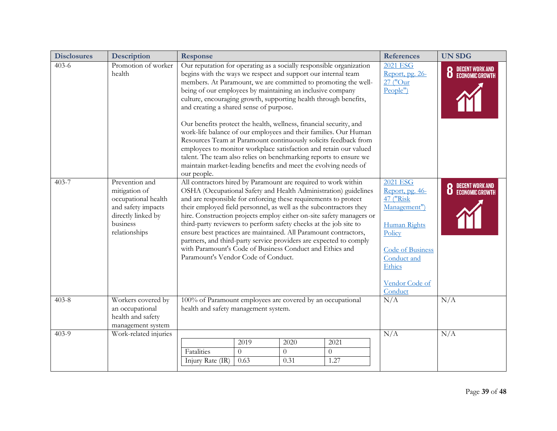| <b>Disclosures</b> | <b>Description</b>                                                                                                              | <b>Response</b>                                                                                                                                                                                                                                                                                                                                                                                                                                                                                                                                                                                                                                                                                                                                                                                                              | <b>References</b>                                                                                                                                                    | <b>UN SDG</b>            |
|--------------------|---------------------------------------------------------------------------------------------------------------------------------|------------------------------------------------------------------------------------------------------------------------------------------------------------------------------------------------------------------------------------------------------------------------------------------------------------------------------------------------------------------------------------------------------------------------------------------------------------------------------------------------------------------------------------------------------------------------------------------------------------------------------------------------------------------------------------------------------------------------------------------------------------------------------------------------------------------------------|----------------------------------------------------------------------------------------------------------------------------------------------------------------------|--------------------------|
| $403 - 6$          | Promotion of worker<br>health                                                                                                   | Our reputation for operating as a socially responsible organization<br>begins with the ways we respect and support our internal team<br>members. At Paramount, we are committed to promoting the well-<br>being of our employees by maintaining an inclusive company<br>culture, encouraging growth, supporting health through benefits,<br>and creating a shared sense of purpose.<br>Our benefits protect the health, wellness, financial security, and<br>work-life balance of our employees and their families. Our Human<br>Resources Team at Paramount continuously solicits feedback from<br>employees to monitor workplace satisfaction and retain our valued<br>talent. The team also relies on benchmarking reports to ensure we<br>maintain market-leading benefits and meet the evolving needs of<br>our people. | <b>2021 ESG</b><br>Report, pg. 26-<br>27 ("Our<br>People")                                                                                                           | <b>8</b> DECENT WORK AND |
| $403 - 7$          | Prevention and<br>mitigation of<br>occupational health<br>and safety impacts<br>directly linked by<br>business<br>relationships | All contractors hired by Paramount are required to work within<br>OSHA (Occupational Safety and Health Administration) guidelines<br>and are responsible for enforcing these requirements to protect<br>their employed field personnel, as well as the subcontractors they<br>hire. Construction projects employ either on-site safety managers or<br>third-party reviewers to perform safety checks at the job site to<br>ensure best practices are maintained. All Paramount contractors,<br>partners, and third-party service providers are expected to comply<br>with Paramount's Code of Business Conduct and Ethics and<br>Paramount's Vendor Code of Conduct.                                                                                                                                                         | 2021 ESG<br>Report, pg. 46-<br>47 ("Risk"<br>Management")<br><b>Human Rights</b><br>Policy<br>Code of Business<br>Conduct and<br>Ethics<br>Vendor Code of<br>Conduct | <b>8</b> DECENT WORK AND |
| $403 - 8$          | Workers covered by<br>an occupational<br>health and safety<br>management system                                                 | 100% of Paramount employees are covered by an occupational<br>health and safety management system.                                                                                                                                                                                                                                                                                                                                                                                                                                                                                                                                                                                                                                                                                                                           | N/A                                                                                                                                                                  | N/A                      |
| $403-9$            | Work-related injuries                                                                                                           | 2019<br>2020<br>2021<br>Fatalities<br>$\Omega$<br>$\theta$<br>$\Omega$<br>Injury Rate (IR)<br>0.63<br>0.31<br>1.27                                                                                                                                                                                                                                                                                                                                                                                                                                                                                                                                                                                                                                                                                                           | N/A                                                                                                                                                                  | N/A                      |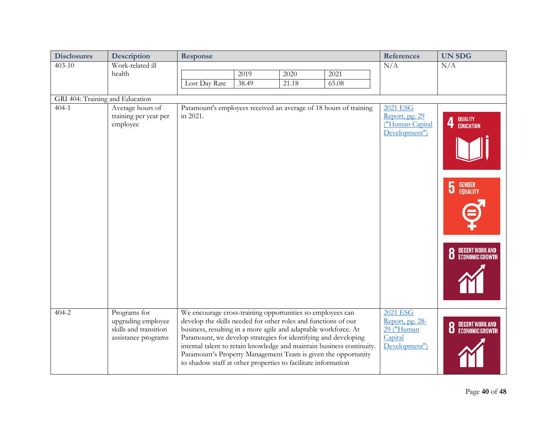| <b>Disclosures</b>              | Description                                                                        | <b>Response</b>                                                                                                                                                                                                                                                                                                                                                                                                                                                               |       |       | <b>References</b> | <b>UN SDG</b>                                                         |                                              |
|---------------------------------|------------------------------------------------------------------------------------|-------------------------------------------------------------------------------------------------------------------------------------------------------------------------------------------------------------------------------------------------------------------------------------------------------------------------------------------------------------------------------------------------------------------------------------------------------------------------------|-------|-------|-------------------|-----------------------------------------------------------------------|----------------------------------------------|
| $403 - 10$                      | Work-related ill                                                                   |                                                                                                                                                                                                                                                                                                                                                                                                                                                                               |       |       |                   | N/A                                                                   | N/A                                          |
|                                 | health                                                                             |                                                                                                                                                                                                                                                                                                                                                                                                                                                                               | 2019  | 2020  | 2021              |                                                                       |                                              |
|                                 |                                                                                    | Lost Day Rate                                                                                                                                                                                                                                                                                                                                                                                                                                                                 | 38.49 | 21.18 | 65.08             |                                                                       |                                              |
| GRI 404: Training and Education |                                                                                    |                                                                                                                                                                                                                                                                                                                                                                                                                                                                               |       |       |                   |                                                                       |                                              |
| $404 - 1$                       | Average hours of<br>training per year per<br>employee                              | Paramount's employees received an average of 18 hours of training<br>in 2021.                                                                                                                                                                                                                                                                                                                                                                                                 |       |       |                   | <b>2021 ESG</b><br>Report, pg. 29<br>("Human Capital<br>Development") | QUALITY<br>EDUCATION<br>4                    |
|                                 |                                                                                    |                                                                                                                                                                                                                                                                                                                                                                                                                                                                               |       |       |                   |                                                                       |                                              |
|                                 |                                                                                    |                                                                                                                                                                                                                                                                                                                                                                                                                                                                               |       |       |                   |                                                                       | <b>GENDER<br/>EQUALITY</b><br>$\overline{5}$ |
|                                 |                                                                                    |                                                                                                                                                                                                                                                                                                                                                                                                                                                                               |       |       |                   |                                                                       | DECENT WORK AND<br>Economic Growth           |
| $404 - 2$                       | Programs for<br>upgrading employee<br>skills and transition<br>assistance programs | We encourage cross-training opportunities so employees can<br>develop the skills needed for other roles and functions of our<br>business, resulting in a more agile and adaptable workforce. At<br>Paramount, we develop strategies for identifying and developing<br>internal talent to retain knowledge and maintain business continuity.<br>Paramount's Property Management Team is given the opportunity<br>to shadow staff at other properties to facilitate information |       |       |                   | 2021 ESG<br>Report, pg. 28-<br>29 ("Human<br>Capital<br>Development") | DECENT WORK AND<br>Economic Growth           |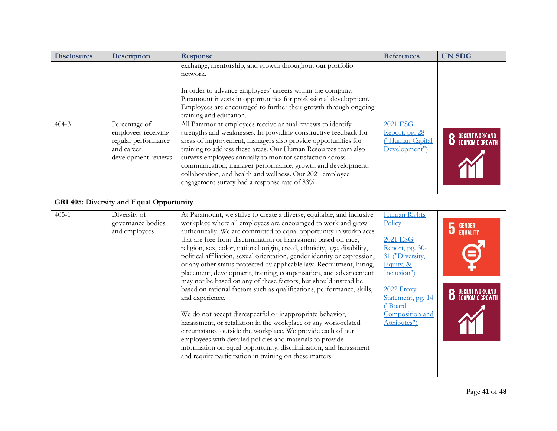| <b>Disclosures</b> | <b>Description</b>                                                                               | <b>Response</b>                                                                                                                                                                                                                                                                                                                                                                                                                                                                                                                                                                                                                                                                                                                                                                                                                                                                                                                                                                                                                                                                                                                                | <b>References</b>                                                                                                                                                                            | <b>UN SDG</b>                                                  |
|--------------------|--------------------------------------------------------------------------------------------------|------------------------------------------------------------------------------------------------------------------------------------------------------------------------------------------------------------------------------------------------------------------------------------------------------------------------------------------------------------------------------------------------------------------------------------------------------------------------------------------------------------------------------------------------------------------------------------------------------------------------------------------------------------------------------------------------------------------------------------------------------------------------------------------------------------------------------------------------------------------------------------------------------------------------------------------------------------------------------------------------------------------------------------------------------------------------------------------------------------------------------------------------|----------------------------------------------------------------------------------------------------------------------------------------------------------------------------------------------|----------------------------------------------------------------|
|                    |                                                                                                  | exchange, mentorship, and growth throughout our portfolio<br>network.                                                                                                                                                                                                                                                                                                                                                                                                                                                                                                                                                                                                                                                                                                                                                                                                                                                                                                                                                                                                                                                                          |                                                                                                                                                                                              |                                                                |
|                    |                                                                                                  | In order to advance employees' careers within the company,                                                                                                                                                                                                                                                                                                                                                                                                                                                                                                                                                                                                                                                                                                                                                                                                                                                                                                                                                                                                                                                                                     |                                                                                                                                                                                              |                                                                |
|                    |                                                                                                  | Paramount invests in opportunities for professional development.<br>Employees are encouraged to further their growth through ongoing<br>training and education.                                                                                                                                                                                                                                                                                                                                                                                                                                                                                                                                                                                                                                                                                                                                                                                                                                                                                                                                                                                |                                                                                                                                                                                              |                                                                |
| $404 - 3$          | Percentage of<br>employees receiving<br>regular performance<br>and career<br>development reviews | All Paramount employees receive annual reviews to identify<br>strengths and weaknesses. In providing constructive feedback for<br>areas of improvement, managers also provide opportunities for<br>training to address these areas. Our Human Resources team also<br>surveys employees annually to monitor satisfaction across<br>communication, manager performance, growth and development,<br>collaboration, and health and wellness. Our 2021 employee<br>engagement survey had a response rate of 83%.                                                                                                                                                                                                                                                                                                                                                                                                                                                                                                                                                                                                                                    | <b>2021 ESG</b><br>Report, pg. 28<br>("Human Capital<br>Development")                                                                                                                        | DECENT WORK<br>Economic Gro                                    |
|                    | GRI 405: Diversity and Equal Opportunity                                                         |                                                                                                                                                                                                                                                                                                                                                                                                                                                                                                                                                                                                                                                                                                                                                                                                                                                                                                                                                                                                                                                                                                                                                |                                                                                                                                                                                              |                                                                |
| $405 - 1$          | Diversity of<br>governance bodies<br>and employees                                               | At Paramount, we strive to create a diverse, equitable, and inclusive<br>workplace where all employees are encouraged to work and grow<br>authentically. We are committed to equal opportunity in workplaces<br>that are free from discrimination or harassment based on race,<br>religion, sex, color, national origin, creed, ethnicity, age, disability,<br>political affiliation, sexual orientation, gender identity or expression,<br>or any other status protected by applicable law. Recruitment, hiring,<br>placement, development, training, compensation, and advancement<br>may not be based on any of these factors, but should instead be<br>based on rational factors such as qualifications, performance, skills,<br>and experience.<br>We do not accept disrespectful or inappropriate behavior,<br>harassment, or retaliation in the workplace or any work-related<br>circumstance outside the workplace. We provide each of our<br>employees with detailed policies and materials to provide<br>information on equal opportunity, discrimination, and harassment<br>and require participation in training on these matters. | Human Rights<br>Policy<br><b>2021 ESG</b><br>Report, pg. 30-<br>31 ("Diversity,<br>Equity, &<br>Inclusion")<br>2022 Proxy<br>Statement, pg. 14<br>("Board<br>Composition and<br>Attributes") | <b>GENDER</b><br>EQUALITY<br>DECENT WORK AND<br>Economic Growt |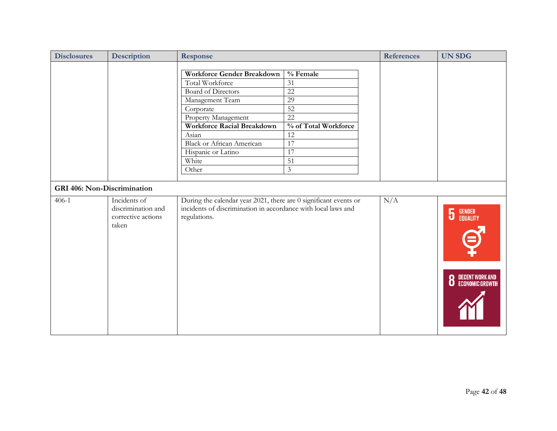| <b>Disclosures</b>                 | <b>Description</b> | Response                                                         |                      | <b>References</b> | <b>UN SDG</b>                                |
|------------------------------------|--------------------|------------------------------------------------------------------|----------------------|-------------------|----------------------------------------------|
|                                    |                    |                                                                  |                      |                   |                                              |
|                                    |                    | Workforce Gender Breakdown                                       | % Female             |                   |                                              |
|                                    |                    | Total Workforce                                                  | 31                   |                   |                                              |
|                                    |                    | <b>Board of Directors</b>                                        | $\overline{22}$      |                   |                                              |
|                                    |                    | Management Team                                                  | 29                   |                   |                                              |
|                                    |                    | Corporate                                                        | 52                   |                   |                                              |
|                                    |                    | Property Management                                              | 22                   |                   |                                              |
|                                    |                    | <b>Workforce Racial Breakdown</b>                                | % of Total Workforce |                   |                                              |
|                                    |                    | Asian                                                            | 12                   |                   |                                              |
|                                    |                    | <b>Black or African American</b>                                 | 17                   |                   |                                              |
|                                    |                    | Hispanic or Latino                                               | $\overline{17}$      |                   |                                              |
|                                    |                    | White                                                            | $\overline{51}$      |                   |                                              |
|                                    |                    | Other                                                            | $\mathfrak{Z}$       |                   |                                              |
|                                    |                    |                                                                  |                      |                   |                                              |
| <b>GRI 406: Non-Discrimination</b> |                    |                                                                  |                      |                   |                                              |
| $406-1$                            | Incidents of       | During the calendar year 2021, there are 0 significant events or |                      | N/A               |                                              |
|                                    | discrimination and | incidents of discrimination in accordance with local laws and    |                      |                   |                                              |
|                                    | corrective actions | regulations.                                                     |                      |                   | $\overline{5}$<br><b>GENDER<br/>EQUALITY</b> |
|                                    | taken              |                                                                  |                      |                   |                                              |
|                                    |                    |                                                                  |                      |                   |                                              |
|                                    |                    |                                                                  |                      |                   |                                              |
|                                    |                    |                                                                  |                      |                   |                                              |
|                                    |                    |                                                                  |                      |                   |                                              |
|                                    |                    |                                                                  |                      |                   |                                              |
|                                    |                    |                                                                  |                      |                   |                                              |
|                                    |                    |                                                                  |                      |                   | <b>8</b> DECENT WORK AND ECONOMIC GROWTH     |
|                                    |                    |                                                                  |                      |                   |                                              |
|                                    |                    |                                                                  |                      |                   |                                              |
|                                    |                    |                                                                  |                      |                   |                                              |
|                                    |                    |                                                                  |                      |                   |                                              |
|                                    |                    |                                                                  |                      |                   |                                              |
|                                    |                    |                                                                  |                      |                   |                                              |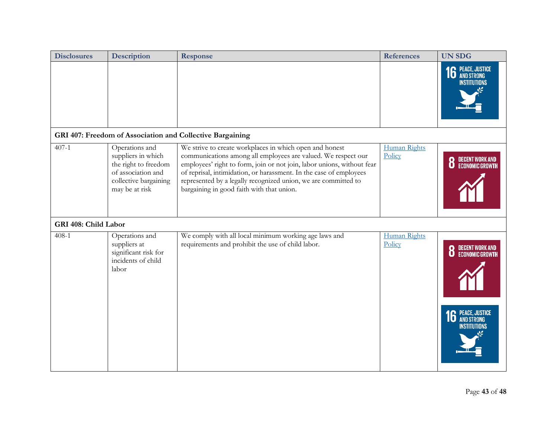| <b>Disclosures</b>   | <b>Description</b>                                                                                                            | Response                                                                                                                                                                                                                                                                                                                                                                                | <b>References</b>             | <b>UN SDG</b>                                   |
|----------------------|-------------------------------------------------------------------------------------------------------------------------------|-----------------------------------------------------------------------------------------------------------------------------------------------------------------------------------------------------------------------------------------------------------------------------------------------------------------------------------------------------------------------------------------|-------------------------------|-------------------------------------------------|
|                      |                                                                                                                               |                                                                                                                                                                                                                                                                                                                                                                                         |                               | <b>16 PEACE, JUSTICE</b><br><b>INSTITUTIONS</b> |
|                      |                                                                                                                               | GRI 407: Freedom of Association and Collective Bargaining                                                                                                                                                                                                                                                                                                                               |                               |                                                 |
| $407 - 1$            | Operations and<br>suppliers in which<br>the right to freedom<br>of association and<br>collective bargaining<br>may be at risk | We strive to create workplaces in which open and honest<br>communications among all employees are valued. We respect our<br>employees' right to form, join or not join, labor unions, without fear<br>of reprisal, intimidation, or harassment. In the case of employees<br>represented by a legally recognized union, we are committed to<br>bargaining in good faith with that union. | Human Rights<br>Policy        |                                                 |
| GRI 408: Child Labor |                                                                                                                               |                                                                                                                                                                                                                                                                                                                                                                                         |                               |                                                 |
| $408 - 1$            | Operations and<br>suppliers at<br>significant risk for<br>incidents of child<br>labor                                         | We comply with all local minimum working age laws and<br>requirements and prohibit the use of child labor.                                                                                                                                                                                                                                                                              | <b>Human Rights</b><br>Policy | <b>16</b> PEACE, JUSTICE<br>INSTITUTIONS        |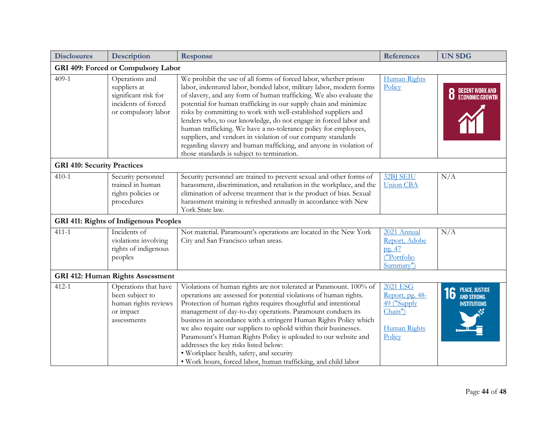| <b>Disclosures</b>                 | Description                                                                                          | <b>Response</b>                                                                                                                                                                                                                                                                                                                                                                                                                                                                                                                                                                                                                                                                   | <b>References</b>                                                                      | <b>UN SDG</b>                                   |  |  |  |
|------------------------------------|------------------------------------------------------------------------------------------------------|-----------------------------------------------------------------------------------------------------------------------------------------------------------------------------------------------------------------------------------------------------------------------------------------------------------------------------------------------------------------------------------------------------------------------------------------------------------------------------------------------------------------------------------------------------------------------------------------------------------------------------------------------------------------------------------|----------------------------------------------------------------------------------------|-------------------------------------------------|--|--|--|
|                                    | GRI 409: Forced or Compulsory Labor                                                                  |                                                                                                                                                                                                                                                                                                                                                                                                                                                                                                                                                                                                                                                                                   |                                                                                        |                                                 |  |  |  |
| $409-1$                            | Operations and<br>suppliers at<br>significant risk for<br>incidents of forced<br>or compulsory labor | We prohibit the use of all forms of forced labor, whether prison<br>labor, indentured labor, bonded labor, military labor, modern forms<br>of slavery, and any form of human trafficking. We also evaluate the<br>potential for human trafficking in our supply chain and minimize<br>risks by committing to work with well-established suppliers and<br>lenders who, to our knowledge, do not engage in forced labor and<br>human trafficking. We have a no-tolerance policy for employees,<br>suppliers, and vendors in violation of our company standards<br>regarding slavery and human trafficking, and anyone in violation of<br>those standards is subject to termination. | Human Rights<br>Policy                                                                 |                                                 |  |  |  |
| <b>GRI 410: Security Practices</b> |                                                                                                      |                                                                                                                                                                                                                                                                                                                                                                                                                                                                                                                                                                                                                                                                                   |                                                                                        |                                                 |  |  |  |
| $410 - 1$                          | Security personnel<br>trained in human<br>rights policies or<br>procedures                           | Security personnel are trained to prevent sexual and other forms of<br>harassment, discrimination, and retaliation in the workplace, and the<br>elimination of adverse treatment that is the product of bias. Sexual<br>harassment training is refreshed annually in accordance with New<br>York State law.                                                                                                                                                                                                                                                                                                                                                                       | 32BJ SEIU<br><b>Union CBA</b>                                                          | N/A                                             |  |  |  |
|                                    | <b>GRI 411: Rights of Indigenous Peoples</b>                                                         |                                                                                                                                                                                                                                                                                                                                                                                                                                                                                                                                                                                                                                                                                   |                                                                                        |                                                 |  |  |  |
| $411 - 1$                          | Incidents of<br>violations involving<br>rights of indigenous<br>peoples                              | Not material. Paramount's operations are located in the New York<br>City and San Francisco urban areas.                                                                                                                                                                                                                                                                                                                                                                                                                                                                                                                                                                           | 2021 Annual<br>Report, Adobe<br>pg. 47<br>("Portfolio<br>Summary")                     | N/A                                             |  |  |  |
|                                    | <b>GRI 412: Human Rights Assessment</b>                                                              |                                                                                                                                                                                                                                                                                                                                                                                                                                                                                                                                                                                                                                                                                   |                                                                                        |                                                 |  |  |  |
| $412 - 1$                          | Operations that have<br>been subject to<br>human rights reviews<br>or impact<br>assessments          | Violations of human rights are not tolerated at Paramount. 100% of<br>operations are assessed for potential violations of human rights.<br>Protection of human rights requires thoughtful and intentional<br>management of day-to-day operations. Paramount conducts its<br>business in accordance with a stringent Human Rights Policy which<br>we also require our suppliers to uphold within their businesses.<br>Paramount's Human Rights Policy is uploaded to our website and<br>addresses the key risks listed below:<br>· Workplace health, safety, and security<br>. Work hours, forced labor, human trafficking, and child labor                                        | 2021 ESG<br>Report, pg. 48-<br>49 ("Supply<br>Chain")<br><b>Human Rights</b><br>Policy | <b>16</b> PEACE, JUSTICE<br><b>INSTITUTIONS</b> |  |  |  |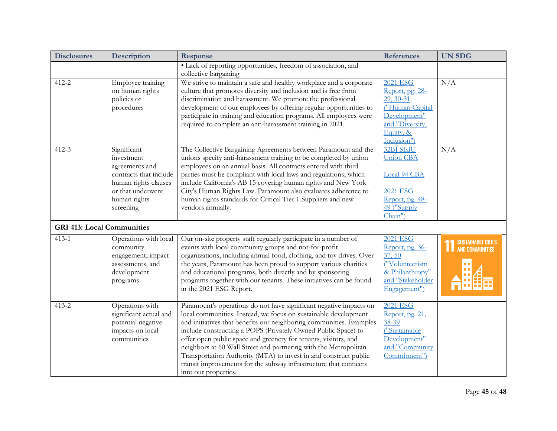| <b>Disclosures</b>                | Description                                                                                                                                     | <b>Response</b>                                                                                                                                                                                                                                                                                                                                                                                                                                                                                                                                                                      | <b>References</b>                                                                                                                 | <b>UN SDG</b>                                       |
|-----------------------------------|-------------------------------------------------------------------------------------------------------------------------------------------------|--------------------------------------------------------------------------------------------------------------------------------------------------------------------------------------------------------------------------------------------------------------------------------------------------------------------------------------------------------------------------------------------------------------------------------------------------------------------------------------------------------------------------------------------------------------------------------------|-----------------------------------------------------------------------------------------------------------------------------------|-----------------------------------------------------|
|                                   |                                                                                                                                                 | · Lack of reporting opportunities, freedom of association, and<br>collective bargaining                                                                                                                                                                                                                                                                                                                                                                                                                                                                                              |                                                                                                                                   |                                                     |
| $412 - 2$                         | Employee training<br>on human rights<br>policies or<br>procedures                                                                               | We strive to maintain a safe and healthy workplace and a corporate<br>culture that promotes diversity and inclusion and is free from<br>discrimination and harassment. We promote the professional<br>development of our employees by offering regular opportunities to<br>participate in training and education programs. All employees were<br>required to complete an anti-harassment training in 2021.                                                                                                                                                                           | <b>2021 ESG</b><br>Report, pg. 28-<br>29, 30-31<br>("Human Capital<br>Development"<br>and "Diversity,<br>Equity, &<br>Inclusion") | N/A                                                 |
| $412 - 3$                         | Significant<br>investment<br>agreements and<br>contracts that include<br>human rights clauses<br>or that underwent<br>human rights<br>screening | The Collective Bargaining Agreements between Paramount and the<br>unions specify anti-harassment training to be completed by union<br>employees on an annual basis. All contracts entered with third<br>parties must be compliant with local laws and regulations, which<br>include California's AB 15 covering human rights and New York<br>City's Human Rights Law. Paramount also evaluates adherence to<br>human rights standards for Critical Tier 1 Suppliers and new<br>vendors annually.                                                                                     | <b>32BJ SEIU</b><br><b>Union CBA</b><br>Local 94 CBA<br><b>2021 ESG</b><br>Report, pg. 48-<br>49 ("Supply<br>Chain")              | N/A                                                 |
| <b>GRI 413: Local Communities</b> |                                                                                                                                                 |                                                                                                                                                                                                                                                                                                                                                                                                                                                                                                                                                                                      |                                                                                                                                   |                                                     |
| $413 - 1$                         | Operations with local<br>community<br>engagement, impact<br>assessments, and<br>development<br>programs                                         | Our on-site property staff regularly participate in a number of<br>events with local community groups and not-for-profit<br>organizations, including annual food, clothing, and toy drives. Over<br>the years, Paramount has been proud to support various charities<br>and educational programs, both directly and by sponsoring<br>programs together with our tenants. These initiatives can be found<br>in the 2021 ESG Report.                                                                                                                                                   | <b>2021 ESG</b><br>Report, pg. 36-<br>37, 50<br>("Volunteerism<br>& Philanthropy"<br>and "Stakeholder<br>Engagement")             | <b>SUSTAINABLE CITIES</b><br><b>AND COMMUNITIES</b> |
| $413 - 2$                         | Operations with<br>significant actual and<br>potential negative<br>impacts on local<br>communities                                              | Paramount's operations do not have significant negative impacts on<br>local communities. Instead, we focus on sustainable development<br>and initiatives that benefits our neighboring communities. Examples<br>include constructing a POPS (Privately Owned Public Space) to<br>offer open public space and greenery for tenants, visitors, and<br>neighbors at 60 Wall Street and partnering with the Metropolitan<br>Transportation Authority (MTA) to invest in and construct public<br>transit improvements for the subway infrastructure that connects<br>into our properties. | <b>2021 ESG</b><br>Report, pg. 21,<br>$38 - 39$<br>("Sustainable<br>Development"<br>and "Community<br>Commitment")                |                                                     |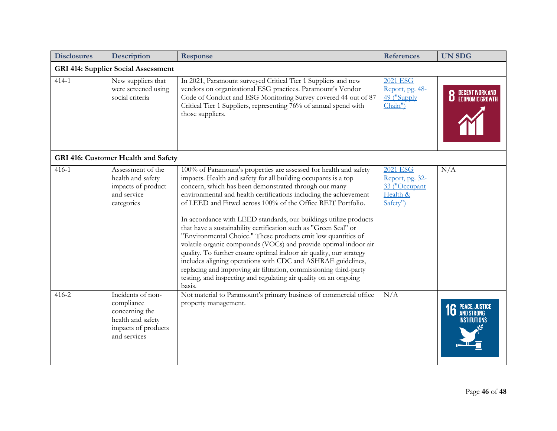| <b>Disclosures</b> | Description                                                                                                   | Response                                                                                                                                                                                                                                                                                                                                                                                                                                                                                                                                                                                                                                                                                                                                                                                                                                                                                                  | <b>References</b>                                                           | <b>UN SDG</b>                               |  |  |
|--------------------|---------------------------------------------------------------------------------------------------------------|-----------------------------------------------------------------------------------------------------------------------------------------------------------------------------------------------------------------------------------------------------------------------------------------------------------------------------------------------------------------------------------------------------------------------------------------------------------------------------------------------------------------------------------------------------------------------------------------------------------------------------------------------------------------------------------------------------------------------------------------------------------------------------------------------------------------------------------------------------------------------------------------------------------|-----------------------------------------------------------------------------|---------------------------------------------|--|--|
|                    | <b>GRI 414: Supplier Social Assessment</b>                                                                    |                                                                                                                                                                                                                                                                                                                                                                                                                                                                                                                                                                                                                                                                                                                                                                                                                                                                                                           |                                                                             |                                             |  |  |
| $414 - 1$          | New suppliers that<br>were screened using<br>social criteria                                                  | In 2021, Paramount surveyed Critical Tier 1 Suppliers and new<br>vendors on organizational ESG practices. Paramount's Vendor<br>Code of Conduct and ESG Monitoring Survey covered 44 out of 87<br>Critical Tier 1 Suppliers, representing 76% of annual spend with<br>those suppliers.                                                                                                                                                                                                                                                                                                                                                                                                                                                                                                                                                                                                                    | <b>2021 ESG</b><br>Report, pg. 48-<br>49 ("Supply<br>Chain")                | <b>8</b> DECENT WORK AND                    |  |  |
|                    | GRI 416: Customer Health and Safety                                                                           |                                                                                                                                                                                                                                                                                                                                                                                                                                                                                                                                                                                                                                                                                                                                                                                                                                                                                                           |                                                                             |                                             |  |  |
| $416 - 1$          | Assessment of the<br>health and safety<br>impacts of product<br>and service<br>categories                     | 100% of Paramount's properties are assessed for health and safety<br>impacts. Health and safety for all building occupants is a top<br>concern, which has been demonstrated through our many<br>environmental and health certifications including the achievement<br>of LEED and Fitwel across 100% of the Office REIT Portfolio.<br>In accordance with LEED standards, our buildings utilize products<br>that have a sustainability certification such as "Green Seal" or<br>"Environmental Choice." These products emit low quantities of<br>volatile organic compounds (VOCs) and provide optimal indoor air<br>quality. To further ensure optimal indoor air quality, our strategy<br>includes aligning operations with CDC and ASHRAE guidelines,<br>replacing and improving air filtration, commissioning third-party<br>testing, and inspecting and regulating air quality on an ongoing<br>basis. | <b>2021 ESG</b><br>Report, pg. 32-<br>33 ("Occupant<br>Health &<br>Safety") | N/A                                         |  |  |
| $416 - 2$          | Incidents of non-<br>compliance<br>concerning the<br>health and safety<br>impacts of products<br>and services | Not material to Paramount's primary business of commercial office<br>property management.                                                                                                                                                                                                                                                                                                                                                                                                                                                                                                                                                                                                                                                                                                                                                                                                                 | N/A                                                                         | PEACE, JUSTICE<br>And Strong<br>NSTITUTIONS |  |  |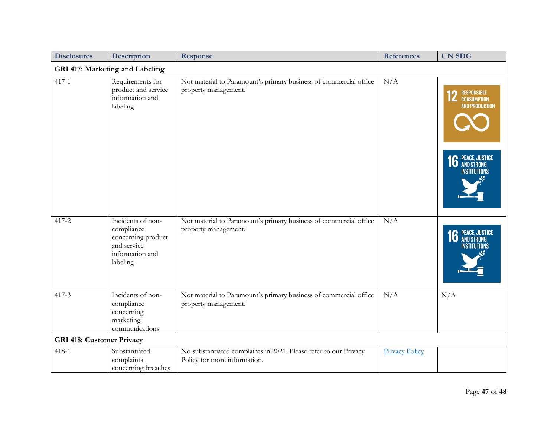| <b>Disclosures</b>               | Description                                                                                         | Response                                                                                         | <b>References</b>     | <b>UN SDG</b>                                                                                                 |  |  |  |
|----------------------------------|-----------------------------------------------------------------------------------------------------|--------------------------------------------------------------------------------------------------|-----------------------|---------------------------------------------------------------------------------------------------------------|--|--|--|
|                                  | GRI 417: Marketing and Labeling                                                                     |                                                                                                  |                       |                                                                                                               |  |  |  |
| $417 - 1$                        | Requirements for<br>product and service<br>information and<br>labeling                              | Not material to Paramount's primary business of commercial office<br>property management.        | N/A                   | RESPONSIBLE<br><b>CONSUMPTION</b><br><b>AND PRODUCTION</b><br><b>16 PEACE, JUSTICE</b><br><b>INSTITUTIONS</b> |  |  |  |
| 417-2                            | Incidents of non-<br>compliance<br>concerning product<br>and service<br>information and<br>labeling | Not material to Paramount's primary business of commercial office<br>property management.        | N/A                   | <b>16 PEACE, JUSTICE</b><br><b>INSTITUTIONS</b>                                                               |  |  |  |
| $417-3$                          | Incidents of non-<br>compliance<br>concerning<br>marketing<br>communications                        | Not material to Paramount's primary business of commercial office<br>property management.        | N/A                   | N/A                                                                                                           |  |  |  |
| <b>GRI 418: Customer Privacy</b> |                                                                                                     |                                                                                                  |                       |                                                                                                               |  |  |  |
| $418 - 1$                        | Substantiated<br>complaints<br>concerning breaches                                                  | No substantiated complaints in 2021. Please refer to our Privacy<br>Policy for more information. | <b>Privacy Policy</b> |                                                                                                               |  |  |  |